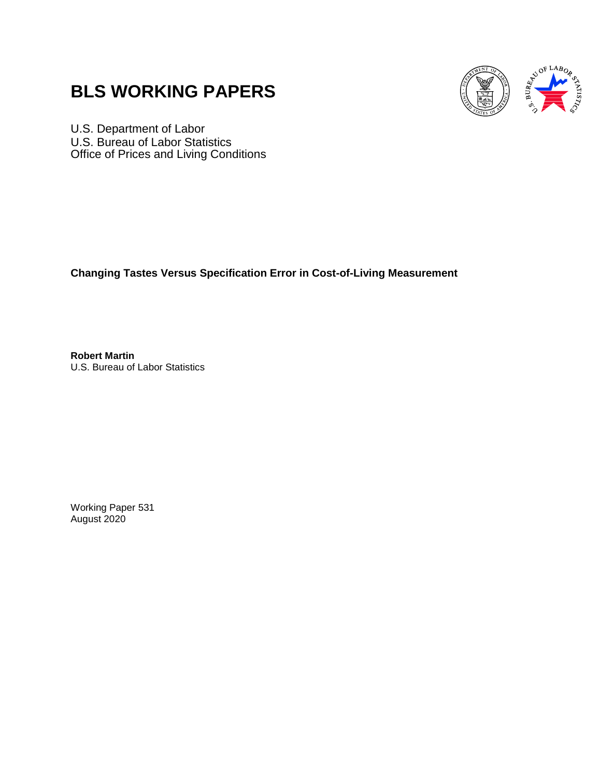# **BLS WORKING PAPERS**



U.S. Department of Labor U.S. Bureau of Labor Statistics Office of Prices and Living Conditions

**Changing Tastes Versus Specification Error in Cost-of-Living Measurement**

**Robert Martin** U.S. Bureau of Labor Statistics

Working Paper 531 August 2020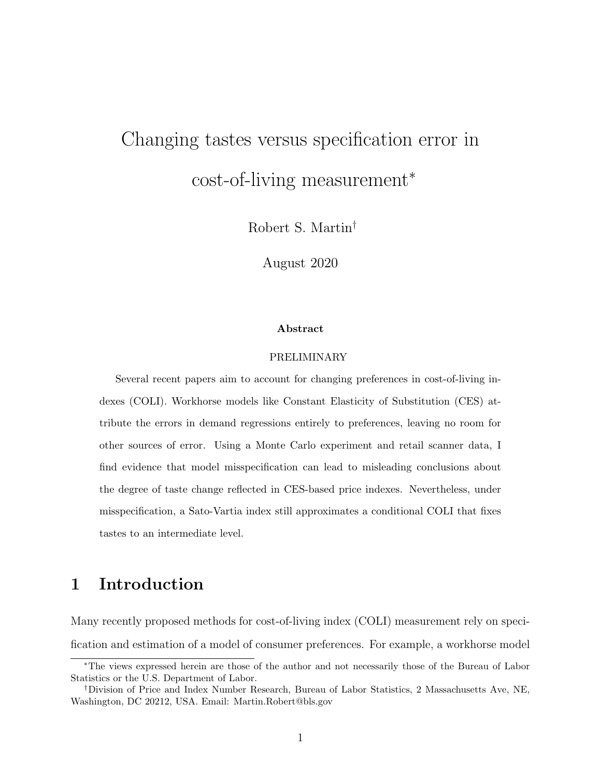# Changing tastes versus specification error in cost-of-living measurement<sup>∗</sup>

Robert S. Martin†

August 2020

#### Abstract

#### PRELIMINARY

Several recent papers aim to account for changing preferences in cost-of-living indexes (COLI). Workhorse models like Constant Elasticity of Substitution (CES) attribute the errors in demand regressions entirely to preferences, leaving no room for other sources of error. Using a Monte Carlo experiment and retail scanner data, I find evidence that model misspecification can lead to misleading conclusions about the degree of taste change reflected in CES-based price indexes. Nevertheless, under misspecification, a Sato-Vartia index still approximates a conditional COLI that fixes tastes to an intermediate level.

### 1 Introduction

Many recently proposed methods for cost-of-living index (COLI) measurement rely on specification and estimation of a model of consumer preferences. For example, a workhorse model

<sup>∗</sup>The views expressed herein are those of the author and not necessarily those of the Bureau of Labor Statistics or the U.S. Department of Labor.

<sup>†</sup>Division of Price and Index Number Research, Bureau of Labor Statistics, 2 Massachusetts Ave, NE, Washington, DC 20212, USA. Email: Martin.Robert@bls.gov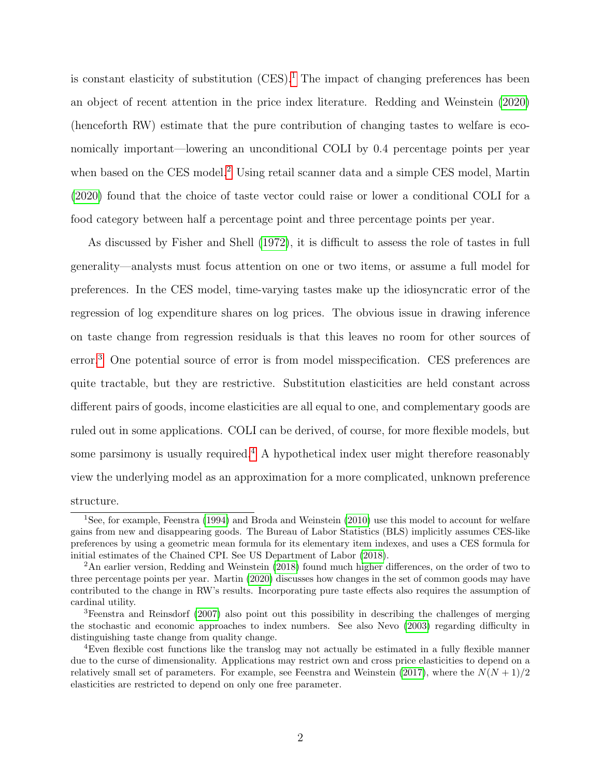is constant elasticity of substitution  $(CES)^1$  $(CES)^1$ . The impact of changing preferences has been an object of recent attention in the price index literature. Redding and Weinstein [\(2020\)](#page-23-0) (henceforth RW) estimate that the pure contribution of changing tastes to welfare is economically important—lowering an unconditional COLI by 0.4 percentage points per year when based on the CES model.<sup>[2](#page-2-1)</sup> Using retail scanner data and a simple CES model, Martin [\(2020\)](#page-22-0) found that the choice of taste vector could raise or lower a conditional COLI for a food category between half a percentage point and three percentage points per year.

As discussed by Fisher and Shell [\(1972\)](#page-21-0), it is difficult to assess the role of tastes in full generality—analysts must focus attention on one or two items, or assume a full model for preferences. In the CES model, time-varying tastes make up the idiosyncratic error of the regression of log expenditure shares on log prices. The obvious issue in drawing inference on taste change from regression residuals is that this leaves no room for other sources of error.[3](#page-2-2) One potential source of error is from model misspecification. CES preferences are quite tractable, but they are restrictive. Substitution elasticities are held constant across different pairs of goods, income elasticities are all equal to one, and complementary goods are ruled out in some applications. COLI can be derived, of course, for more flexible models, but some parsimony is usually required.<sup>[4](#page-2-3)</sup> A hypothetical index user might therefore reasonably view the underlying model as an approximation for a more complicated, unknown preference structure.

<span id="page-2-0"></span><sup>&</sup>lt;sup>1</sup>See, for example, Feenstra [\(1994\)](#page-21-1) and Broda and Weinstein [\(2010\)](#page-20-0) use this model to account for welfare gains from new and disappearing goods. The Bureau of Labor Statistics (BLS) implicitly assumes CES-like preferences by using a geometric mean formula for its elementary item indexes, and uses a CES formula for initial estimates of the Chained CPI. See US Department of Labor [\(2018\)](#page-23-1).

<span id="page-2-1"></span><sup>2</sup>An earlier version, Redding and Weinstein [\(2018\)](#page-23-2) found much higher differences, on the order of two to three percentage points per year. Martin [\(2020\)](#page-22-0) discusses how changes in the set of common goods may have contributed to the change in RW's results. Incorporating pure taste effects also requires the assumption of cardinal utility.

<span id="page-2-2"></span><sup>3</sup>Feenstra and Reinsdorf [\(2007\)](#page-21-2) also point out this possibility in describing the challenges of merging the stochastic and economic approaches to index numbers. See also Nevo [\(2003\)](#page-23-3) regarding difficulty in distinguishing taste change from quality change.

<span id="page-2-3"></span><sup>4</sup>Even flexible cost functions like the translog may not actually be estimated in a fully flexible manner due to the curse of dimensionality. Applications may restrict own and cross price elasticities to depend on a relatively small set of parameters. For example, see Feenstra and Weinstein [\(2017\)](#page-21-3), where the  $N(N+1)/2$ elasticities are restricted to depend on only one free parameter.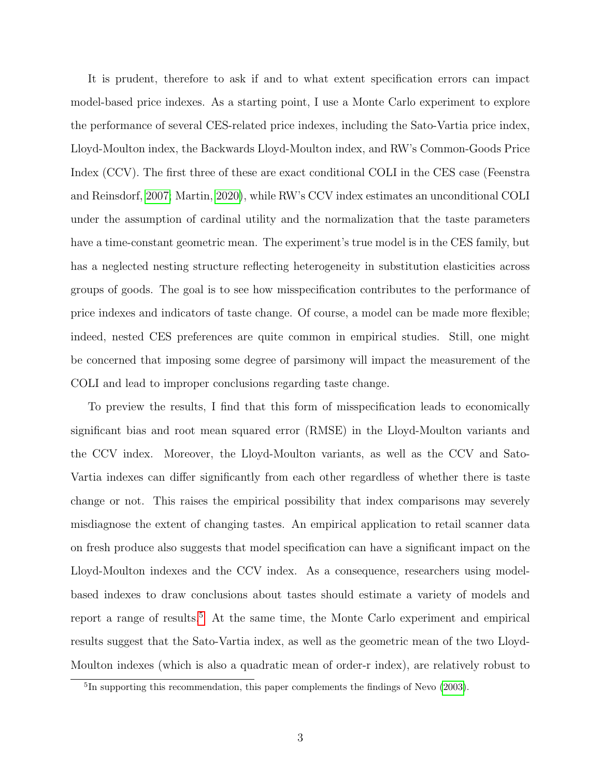It is prudent, therefore to ask if and to what extent specification errors can impact model-based price indexes. As a starting point, I use a Monte Carlo experiment to explore the performance of several CES-related price indexes, including the Sato-Vartia price index, Lloyd-Moulton index, the Backwards Lloyd-Moulton index, and RW's Common-Goods Price Index (CCV). The first three of these are exact conditional COLI in the CES case (Feenstra and Reinsdorf, [2007;](#page-21-2) Martin, [2020\)](#page-22-0), while RW's CCV index estimates an unconditional COLI under the assumption of cardinal utility and the normalization that the taste parameters have a time-constant geometric mean. The experiment's true model is in the CES family, but has a neglected nesting structure reflecting heterogeneity in substitution elasticities across groups of goods. The goal is to see how misspecification contributes to the performance of price indexes and indicators of taste change. Of course, a model can be made more flexible; indeed, nested CES preferences are quite common in empirical studies. Still, one might be concerned that imposing some degree of parsimony will impact the measurement of the COLI and lead to improper conclusions regarding taste change.

To preview the results, I find that this form of misspecification leads to economically significant bias and root mean squared error (RMSE) in the Lloyd-Moulton variants and the CCV index. Moreover, the Lloyd-Moulton variants, as well as the CCV and Sato-Vartia indexes can differ significantly from each other regardless of whether there is taste change or not. This raises the empirical possibility that index comparisons may severely misdiagnose the extent of changing tastes. An empirical application to retail scanner data on fresh produce also suggests that model specification can have a significant impact on the Lloyd-Moulton indexes and the CCV index. As a consequence, researchers using modelbased indexes to draw conclusions about tastes should estimate a variety of models and report a range of results.<sup>[5](#page-3-0)</sup> At the same time, the Monte Carlo experiment and empirical results suggest that the Sato-Vartia index, as well as the geometric mean of the two Lloyd-Moulton indexes (which is also a quadratic mean of order-r index), are relatively robust to

<span id="page-3-0"></span><sup>&</sup>lt;sup>5</sup>In supporting this recommendation, this paper complements the findings of Nevo [\(2003\)](#page-23-3).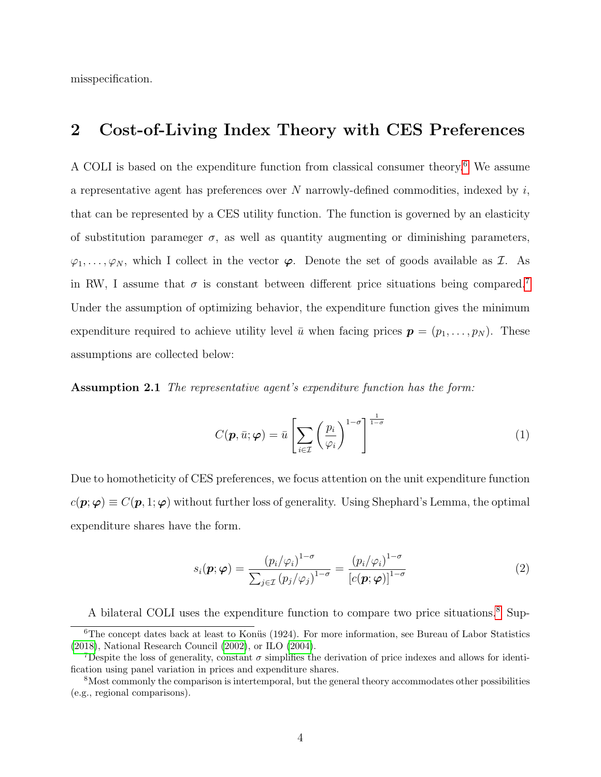misspecification.

### <span id="page-4-5"></span>2 Cost-of-Living Index Theory with CES Preferences

A COLI is based on the expenditure function from classical consumer theory.[6](#page-4-0) We assume a representative agent has preferences over  $N$  narrowly-defined commodities, indexed by  $i$ , that can be represented by a CES utility function. The function is governed by an elasticity of substitution parameger  $\sigma$ , as well as quantity augmenting or diminishing parameters,  $\varphi_1, \ldots, \varphi_N$ , which I collect in the vector  $\varphi$ . Denote the set of goods available as *I*. As in RW, I assume that  $\sigma$  is constant between different price situations being compared.<sup>[7](#page-4-1)</sup> Under the assumption of optimizing behavior, the expenditure function gives the minimum expenditure required to achieve utility level  $\bar{u}$  when facing prices  $\mathbf{p} = (p_1, \ldots, p_N)$ . These assumptions are collected below:

Assumption 2.1 The representative agent's expenditure function has the form:

<span id="page-4-4"></span>
$$
C(\boldsymbol{p}, \bar{u}; \boldsymbol{\varphi}) = \bar{u} \left[ \sum_{i \in \mathcal{I}} \left( \frac{p_i}{\varphi_i} \right)^{1-\sigma} \right]^{\frac{1}{1-\sigma}}
$$
(1)

Due to homotheticity of CES preferences, we focus attention on the unit expenditure function  $c(\mathbf{p}; \varphi) \equiv C(\mathbf{p}, 1; \varphi)$  without further loss of generality. Using Shephard's Lemma, the optimal expenditure shares have the form.

<span id="page-4-3"></span>
$$
s_i(\mathbf{p}; \boldsymbol{\varphi}) = \frac{\left(p_i/\varphi_i\right)^{1-\sigma}}{\sum_{j \in \mathcal{I}} \left(p_j/\varphi_j\right)^{1-\sigma}} = \frac{\left(p_i/\varphi_i\right)^{1-\sigma}}{\left[c(\mathbf{p}; \boldsymbol{\varphi})\right]^{1-\sigma}} \tag{2}
$$

A bilateral COLI uses the expenditure function to compare two price situations.[8](#page-4-2) Sup-

<span id="page-4-0"></span> $6$ The concept dates back at least to Konüs (1924). For more information, see Bureau of Labor Statistics [\(2018\)](#page-21-4), National Research Council [\(2002\)](#page-22-1), or ILO [\(2004\)](#page-22-2).

<span id="page-4-1"></span><sup>&</sup>lt;sup>7</sup>Despite the loss of generality, constant  $\sigma$  simplifies the derivation of price indexes and allows for identification using panel variation in prices and expenditure shares.

<span id="page-4-2"></span><sup>8</sup>Most commonly the comparison is intertemporal, but the general theory accommodates other possibilities (e.g., regional comparisons).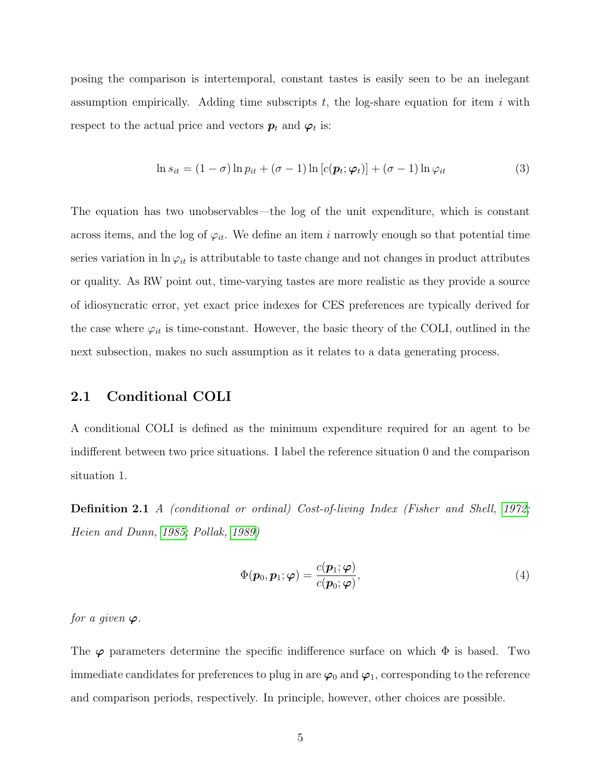posing the comparison is intertemporal, constant tastes is easily seen to be an inelegant assumption empirically. Adding time subscripts  $t$ , the log-share equation for item i with respect to the actual price and vectors  $p_t$  and  $\varphi_t$  is:

$$
\ln s_{it} = (1 - \sigma) \ln p_{it} + (\sigma - 1) \ln [c(\boldsymbol{p}_t; \boldsymbol{\varphi}_t)] + (\sigma - 1) \ln \varphi_{it}
$$
\n(3)

The equation has two unobservables—the log of the unit expenditure, which is constant across items, and the log of  $\varphi_{it}$ . We define an item i narrowly enough so that potential time series variation in  $\ln \varphi_{it}$  is attributable to taste change and not changes in product attributes or quality. As RW point out, time-varying tastes are more realistic as they provide a source of idiosyncratic error, yet exact price indexes for CES preferences are typically derived for the case where  $\varphi_{it}$  is time-constant. However, the basic theory of the COLI, outlined in the next subsection, makes no such assumption as it relates to a data generating process.

#### 2.1 Conditional COLI

A conditional COLI is defined as the minimum expenditure required for an agent to be indifferent between two price situations. I label the reference situation 0 and the comparison situation 1.

Definition 2.1 A (conditional or ordinal) Cost-of-living Index (Fisher and Shell, [1972;](#page-21-0) Heien and Dunn, [1985;](#page-22-3) Pollak, [1989\)](#page-23-4)

$$
\Phi(\mathbf{p}_0, \mathbf{p}_1; \boldsymbol{\varphi}) = \frac{c(\mathbf{p}_1; \boldsymbol{\varphi})}{c(\mathbf{p}_0; \boldsymbol{\varphi})},\tag{4}
$$

for a given  $\varphi$ .

The  $\varphi$  parameters determine the specific indifference surface on which  $\Phi$  is based. Two immediate candidates for preferences to plug in are  $\varphi_0$  and  $\varphi_1$ , corresponding to the reference and comparison periods, respectively. In principle, however, other choices are possible.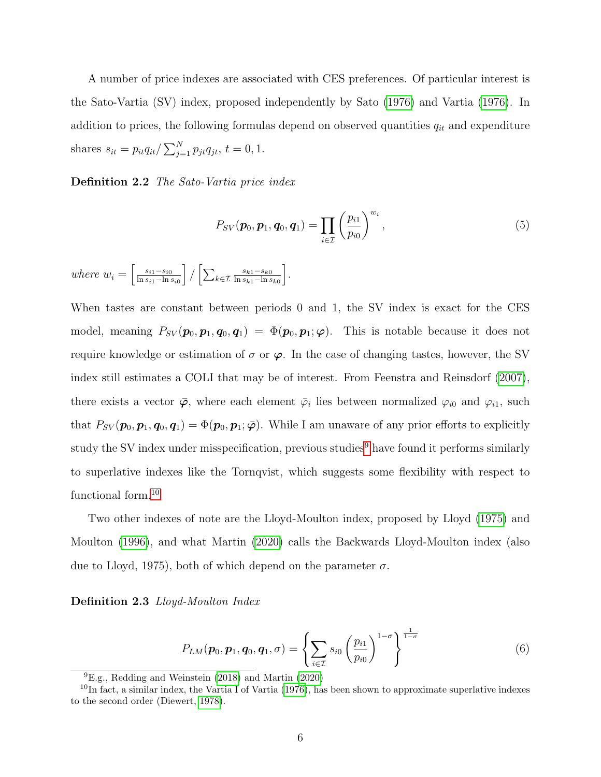A number of price indexes are associated with CES preferences. Of particular interest is the Sato-Vartia (SV) index, proposed independently by Sato [\(1976\)](#page-23-5) and Vartia [\(1976\)](#page-23-6). In addition to prices, the following formulas depend on observed quantities  $q_{it}$  and expenditure shares  $s_{it} = p_{it}q_{it}/\sum_{j=1}^{N} p_{jt}q_{jt}, t = 0, 1$ .

Definition 2.2 The Sato-Vartia price index

$$
P_{SV}(\boldsymbol{p}_0, \boldsymbol{p}_1, \boldsymbol{q}_0, \boldsymbol{q}_1) = \prod_{i \in \mathcal{I}} \left(\frac{p_{i1}}{p_{i0}}\right)^{w_i},\tag{5}
$$

where  $w_i = \left[\frac{s_{i1}-s_{i0}}{\ln s_{i1}-\ln s_{i0}}\right]$  $ln s_{i1}-ln s_{i0}$  $\Big\}\Big/\Big[\sum_{k\in\mathcal{I}}\frac{s_{k1}-s_{k0}}{\ln s_{k1}-\ln s}$  $\ln s_{k1}-\ln s_{k0}$ i .

When tastes are constant between periods 0 and 1, the SV index is exact for the CES model, meaning  $P_{SV}(\boldsymbol{p}_0, \boldsymbol{p}_1, \boldsymbol{q}_0, \boldsymbol{q}_1) = \Phi(\boldsymbol{p}_0, \boldsymbol{p}_1; \boldsymbol{\varphi})$ . This is notable because it does not require knowledge or estimation of  $\sigma$  or  $\varphi$ . In the case of changing tastes, however, the SV index still estimates a COLI that may be of interest. From Feenstra and Reinsdorf [\(2007\)](#page-21-2), there exists a vector  $\bar{\varphi}$ , where each element  $\bar{\varphi}_i$  lies between normalized  $\varphi_{i0}$  and  $\varphi_{i1}$ , such that  $P_{SV}(\boldsymbol{p}_0, \boldsymbol{p}_1, \boldsymbol{q}_0, \boldsymbol{q}_1) = \Phi(\boldsymbol{p}_0, \boldsymbol{p}_1; \bar{\varphi})$ . While I am unaware of any prior efforts to explicitly study the SV index under misspecification, previous studies<sup>[9](#page-6-0)</sup> have found it performs similarly to superlative indexes like the Tornqvist, which suggests some flexibility with respect to functional form.[10](#page-6-1)

Two other indexes of note are the Lloyd-Moulton index, proposed by Lloyd [\(1975\)](#page-22-4) and Moulton [\(1996\)](#page-22-5), and what Martin [\(2020\)](#page-22-0) calls the Backwards Lloyd-Moulton index (also due to Lloyd, 1975), both of which depend on the parameter  $\sigma$ .

Definition 2.3 Lloyd-Moulton Index

$$
P_{LM}(\boldsymbol{p}_0, \boldsymbol{p}_1, \boldsymbol{q}_0, \boldsymbol{q}_1, \sigma) = \left\{ \sum_{i \in \mathcal{I}} s_{i0} \left( \frac{p_{i1}}{p_{i0}} \right)^{1-\sigma} \right\}^{\frac{1}{1-\sigma}}
$$
(6)

<span id="page-6-1"></span><span id="page-6-0"></span> ${}^{9}E.g.,$  Redding and Weinstein [\(2018\)](#page-23-2) and Martin [\(2020\)](#page-22-0)

 $^{10}$ In fact, a similar index, the Vartia I of Vartia [\(1976\)](#page-23-6), has been shown to approximate superlative indexes to the second order (Diewert, [1978\)](#page-21-5).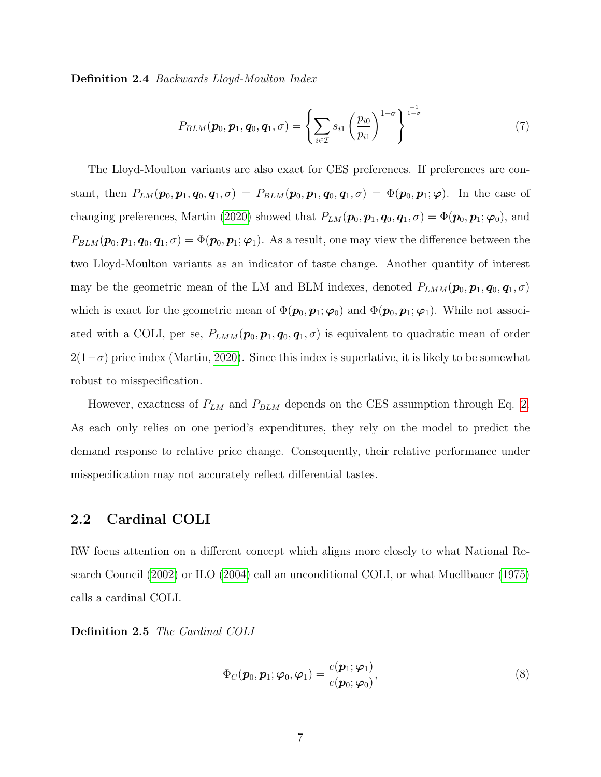Definition 2.4 Backwards Lloyd-Moulton Index

$$
P_{BLM}(\boldsymbol{p}_0, \boldsymbol{p}_1, \boldsymbol{q}_0, \boldsymbol{q}_1, \sigma) = \left\{ \sum_{i \in \mathcal{I}} s_{i1} \left( \frac{p_{i0}}{p_{i1}} \right)^{1-\sigma} \right\}^{\frac{-1}{1-\sigma}}
$$
(7)

The Lloyd-Moulton variants are also exact for CES preferences. If preferences are constant, then  $P_{LM}(\boldsymbol{p}_0, \boldsymbol{p}_1, \boldsymbol{q}_0, \boldsymbol{q}_1, \sigma) = P_{BLM}(\boldsymbol{p}_0, \boldsymbol{p}_1, \boldsymbol{q}_0, \boldsymbol{q}_1, \sigma) = \Phi(\boldsymbol{p}_0, \boldsymbol{p}_1; \boldsymbol{\varphi})$ . In the case of changing preferences, Martin [\(2020\)](#page-22-0) showed that  $P_{LM}(\mathbf{p}_0, \mathbf{p}_1, \mathbf{q}_0, \mathbf{q}_1, \sigma) = \Phi(\mathbf{p}_0, \mathbf{p}_1; \boldsymbol{\varphi}_0)$ , and  $P_{BLM}$  ( $\boldsymbol{p}_0$ ,  $\boldsymbol{p}_1$ ,  $\boldsymbol{q}_0$ ,  $\boldsymbol{q}_1$ ,  $\sigma$ ) =  $\Phi(\boldsymbol{p}_0, \boldsymbol{p}_1; \boldsymbol{\varphi}_1)$ . As a result, one may view the difference between the two Lloyd-Moulton variants as an indicator of taste change. Another quantity of interest may be the geometric mean of the LM and BLM indexes, denoted  $P_{LMM}(\boldsymbol{p}_0, \boldsymbol{p}_1, \boldsymbol{q}_0, \boldsymbol{q}_1, \sigma)$ which is exact for the geometric mean of  $\Phi(\mathbf{p}_0, \mathbf{p}_1; \varphi_0)$  and  $\Phi(\mathbf{p}_0, \mathbf{p}_1; \varphi_1)$ . While not associated with a COLI, per se,  $P_{LMM}(p_0, p_1, q_0, q_1, \sigma)$  is equivalent to quadratic mean of order  $2(1-\sigma)$  price index (Martin, [2020\)](#page-22-0). Since this index is superlative, it is likely to be somewhat robust to misspecification.

However, exactness of  $P_{LM}$  and  $P_{BLM}$  depends on the CES assumption through Eq. [2.](#page-4-3) As each only relies on one period's expenditures, they rely on the model to predict the demand response to relative price change. Consequently, their relative performance under misspecification may not accurately reflect differential tastes.

#### 2.2 Cardinal COLI

RW focus attention on a different concept which aligns more closely to what National Research Council [\(2002\)](#page-22-1) or ILO [\(2004\)](#page-22-2) call an unconditional COLI, or what Muellbauer [\(1975\)](#page-22-6) calls a cardinal COLI.

Definition 2.5 The Cardinal COLI

$$
\Phi_C(\boldsymbol{p}_0, \boldsymbol{p}_1; \boldsymbol{\varphi}_0, \boldsymbol{\varphi}_1) = \frac{c(\boldsymbol{p}_1; \boldsymbol{\varphi}_1)}{c(\boldsymbol{p}_0; \boldsymbol{\varphi}_0)},
$$
\n(8)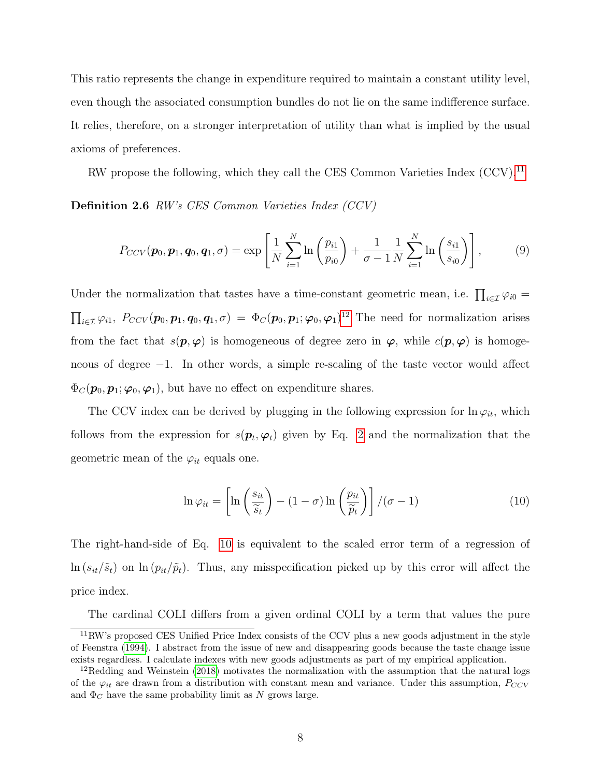This ratio represents the change in expenditure required to maintain a constant utility level, even though the associated consumption bundles do not lie on the same indifference surface. It relies, therefore, on a stronger interpretation of utility than what is implied by the usual axioms of preferences.

RW propose the following, which they call the CES Common Varieties Index  $(CCV)^{11}$  $(CCV)^{11}$  $(CCV)^{11}$ 

Definition 2.6 RW's CES Common Varieties Index (CCV)

$$
P_{CCV}(\boldsymbol{p}_0, \boldsymbol{p}_1, \boldsymbol{q}_0, \boldsymbol{q}_1, \sigma) = \exp\left[\frac{1}{N} \sum_{i=1}^{N} \ln\left(\frac{p_{i1}}{p_{i0}}\right) + \frac{1}{\sigma - 1} \frac{1}{N} \sum_{i=1}^{N} \ln\left(\frac{s_{i1}}{s_{i0}}\right)\right],
$$
(9)

Under the normalization that tastes have a time-constant geometric mean, i.e.  $\prod_{i\in\mathcal{I}}\varphi_{i0}=$  $\prod_{i\in\mathcal{I}}\varphi_{i1},\ P_{CCV}(\boldsymbol{p}_0,\boldsymbol{p}_1,\boldsymbol{q}_0,\boldsymbol{q}_1,\sigma) = \Phi_C(\boldsymbol{p}_0,\boldsymbol{p}_1;\boldsymbol{\varphi}_0,\boldsymbol{\varphi}_1)^{12}$  $\prod_{i\in\mathcal{I}}\varphi_{i1},\ P_{CCV}(\boldsymbol{p}_0,\boldsymbol{p}_1,\boldsymbol{q}_0,\boldsymbol{q}_1,\sigma) = \Phi_C(\boldsymbol{p}_0,\boldsymbol{p}_1;\boldsymbol{\varphi}_0,\boldsymbol{\varphi}_1)^{12}$  $\prod_{i\in\mathcal{I}}\varphi_{i1},\ P_{CCV}(\boldsymbol{p}_0,\boldsymbol{p}_1,\boldsymbol{q}_0,\boldsymbol{q}_1,\sigma) = \Phi_C(\boldsymbol{p}_0,\boldsymbol{p}_1;\boldsymbol{\varphi}_0,\boldsymbol{\varphi}_1)^{12}$  The need for normalization arises from the fact that  $s(\mathbf{p}, \varphi)$  is homogeneous of degree zero in  $\varphi$ , while  $c(\mathbf{p}, \varphi)$  is homogeneous of degree −1. In other words, a simple re-scaling of the taste vector would affect  $\Phi_C(\mathbf{p}_0, \mathbf{p}_1; \boldsymbol{\varphi}_0, \boldsymbol{\varphi}_1)$ , but have no effect on expenditure shares.

The CCV index can be derived by plugging in the following expression for  $\ln \varphi_{it}$ , which follows from the expression for  $s(\mathbf{p}_t, \boldsymbol{\varphi}_t)$  given by Eq. [2](#page-4-3) and the normalization that the geometric mean of the  $\varphi_{it}$  equals one.

<span id="page-8-2"></span>
$$
\ln \varphi_{it} = \left[ \ln \left( \frac{s_{it}}{\widetilde{s}_t} \right) - (1 - \sigma) \ln \left( \frac{p_{it}}{\widetilde{p}_t} \right) \right] / (\sigma - 1) \tag{10}
$$

The right-hand-side of Eq. [10](#page-8-2) is equivalent to the scaled error term of a regression of  $\ln (s_{it}/\tilde{s}_t)$  on  $\ln (p_{it}/\tilde{p}_t)$ . Thus, any misspecification picked up by this error will affect the price index.

The cardinal COLI differs from a given ordinal COLI by a term that values the pure

<span id="page-8-0"></span><sup>11</sup>RW's proposed CES Unified Price Index consists of the CCV plus a new goods adjustment in the style of Feenstra [\(1994\)](#page-21-1). I abstract from the issue of new and disappearing goods because the taste change issue exists regardless. I calculate indexes with new goods adjustments as part of my empirical application.

<span id="page-8-1"></span><sup>&</sup>lt;sup>12</sup>Redding and Weinstein [\(2018\)](#page-23-2) motivates the normalization with the assumption that the natural logs of the  $\varphi_{it}$  are drawn from a distribution with constant mean and variance. Under this assumption,  $P_{CCV}$ and  $\Phi_C$  have the same probability limit as N grows large.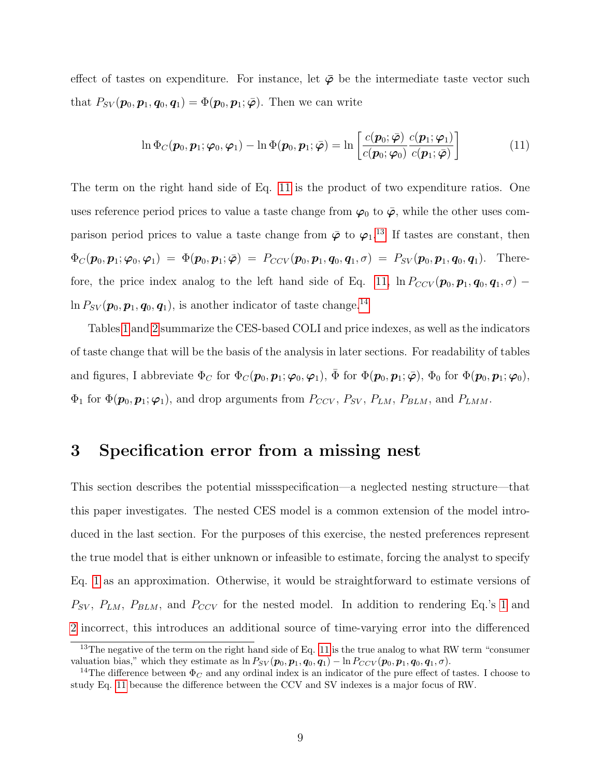effect of tastes on expenditure. For instance, let  $\bar{\varphi}$  be the intermediate taste vector such that  $P_{SV}(\boldsymbol{p}_0, \boldsymbol{p}_1, \boldsymbol{q}_0, \boldsymbol{q}_1) = \Phi(\boldsymbol{p}_0, \boldsymbol{p}_1; \bar{\varphi})$ . Then we can write

<span id="page-9-0"></span>
$$
\ln \Phi_C(\boldsymbol{p}_0, \boldsymbol{p}_1; \boldsymbol{\varphi}_0, \boldsymbol{\varphi}_1) - \ln \Phi(\boldsymbol{p}_0, \boldsymbol{p}_1; \bar{\boldsymbol{\varphi}}) = \ln \left[ \frac{c(\boldsymbol{p}_0; \bar{\boldsymbol{\varphi}}) c(\boldsymbol{p}_1; \boldsymbol{\varphi}_1)}{c(\boldsymbol{p}_0; \boldsymbol{\varphi}_0)} \frac{c(\boldsymbol{p}_1; \boldsymbol{\varphi}_1)}{c(\boldsymbol{p}_1; \bar{\boldsymbol{\varphi}})} \right]
$$
(11)

The term on the right hand side of Eq. [11](#page-9-0) is the product of two expenditure ratios. One uses reference period prices to value a taste change from  $\varphi_0$  to  $\bar{\varphi}$ , while the other uses comparison period prices to value a taste change from  $\bar{\varphi}$  to  $\varphi_1$ .<sup>[13](#page-9-1)</sup> If tastes are constant, then  $\Phi_C(\boldsymbol{p}_0, \boldsymbol{p}_1; \boldsymbol{\varphi}_0, \boldsymbol{\varphi}_1) = \Phi(\boldsymbol{p}_0, \boldsymbol{p}_1; \bar{\boldsymbol{\varphi}}) = P_{CCV}(\boldsymbol{p}_0, \boldsymbol{p}_1, \boldsymbol{q}_0, \boldsymbol{q}_1, \sigma) = P_{SV}(\boldsymbol{p}_0, \boldsymbol{p}_1, \boldsymbol{q}_0, \boldsymbol{q}_1).$  There-fore, the price index analog to the left hand side of Eq. [11,](#page-9-0)  $\ln P_{CCV}(\mathbf{p}_0, \mathbf{p}_1, \mathbf{q}_0, \mathbf{q}_1, \sigma)$  –  $\ln P_{SV}(\boldsymbol{p}_0, \boldsymbol{p}_1, \boldsymbol{q}_0, \boldsymbol{q}_1)$ , is another indicator of taste change.<sup>[14](#page-9-2)</sup>

Tables [1](#page-24-0) and [2](#page-24-1) summarize the CES-based COLI and price indexes, as well as the indicators of taste change that will be the basis of the analysis in later sections. For readability of tables and figures, I abbreviate  $\Phi_C$  for  $\Phi_C(\mathbf{p}_0, \mathbf{p}_1; \varphi_0, \varphi_1)$ ,  $\bar{\Phi}$  for  $\Phi(\mathbf{p}_0, \mathbf{p}_1; \bar{\varphi})$ ,  $\Phi_0$  for  $\Phi(\mathbf{p}_0, \mathbf{p}_1; \varphi_0)$ ,  $\Phi_1$  for  $\Phi(\mathbf{p}_0, \mathbf{p}_1; \varphi_1)$ , and drop arguments from  $P_{CCV}$ ,  $P_{SV}$ ,  $P_{LM}$ ,  $P_{BLM}$ , and  $P_{LMM}$ .

### 3 Specification error from a missing nest

This section describes the potential missspecification—a neglected nesting structure—that this paper investigates. The nested CES model is a common extension of the model introduced in the last section. For the purposes of this exercise, the nested preferences represent the true model that is either unknown or infeasible to estimate, forcing the analyst to specify Eq. [1](#page-4-4) as an approximation. Otherwise, it would be straightforward to estimate versions of  $P_{SV}$ ,  $P_{LM}$ ,  $P_{BLM}$ , and  $P_{CCV}$  for the nested model. In addition to rendering Eq.'s [1](#page-4-4) and [2](#page-4-3) incorrect, this introduces an additional source of time-varying error into the differenced

<span id="page-9-1"></span><sup>&</sup>lt;sup>13</sup>The negative of the term on the right hand side of Eq. [11](#page-9-0) is the true analog to what RW term "consumer valuation bias," which they estimate as  $\ln P_{SV}(p_0, p_1, q_0, q_1) - \ln P_{CCV}(p_0, p_1, q_0, q_1, \sigma)$ .

<span id="page-9-2"></span><sup>&</sup>lt;sup>14</sup>The difference between  $\Phi_C$  and any ordinal index is an indicator of the pure effect of tastes. I choose to study Eq. [11](#page-9-0) because the difference between the CCV and SV indexes is a major focus of RW.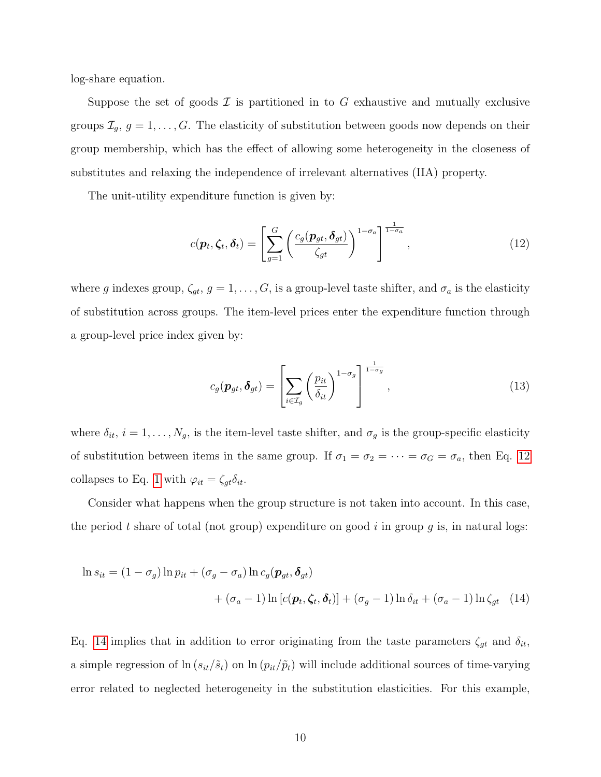log-share equation.

Suppose the set of goods  $\mathcal I$  is partitioned in to G exhaustive and mutually exclusive groups  $\mathcal{I}_g, g = 1, \ldots, G$ . The elasticity of substitution between goods now depends on their group membership, which has the effect of allowing some heterogeneity in the closeness of substitutes and relaxing the independence of irrelevant alternatives (IIA) property.

The unit-utility expenditure function is given by:

<span id="page-10-0"></span>
$$
c(\boldsymbol{p}_t, \boldsymbol{\zeta}_t, \boldsymbol{\delta}_t) = \left[ \sum_{g=1}^G \left( \frac{c_g(\boldsymbol{p}_{gt}, \boldsymbol{\delta}_{gt})}{\zeta_{gt}} \right)^{1-\sigma_a} \right]^{\frac{1}{1-\sigma_a}}, \qquad (12)
$$

where g indexes group,  $\zeta_{gt}$ ,  $g = 1, \ldots, G$ , is a group-level taste shifter, and  $\sigma_a$  is the elasticity of substitution across groups. The item-level prices enter the expenditure function through a group-level price index given by:

<span id="page-10-1"></span>
$$
c_g(\boldsymbol{p}_{gt}, \boldsymbol{\delta}_{gt}) = \left[ \sum_{i \in \mathcal{I}_g} \left( \frac{p_{it}}{\delta_{it}} \right)^{1 - \sigma_g} \right]^{\frac{1}{1 - \sigma_g}}, \qquad (13)
$$

where  $\delta_{it}$ ,  $i = 1, \ldots, N_g$ , is the item-level taste shifter, and  $\sigma_g$  is the group-specific elasticity of substitution between items in the same group. If  $\sigma_1 = \sigma_2 = \cdots = \sigma_G = \sigma_a$ , then Eq. [12](#page-10-0) collapses to Eq. [1](#page-4-4) with  $\varphi_{it} = \zeta_{gt}\delta_{it}$ .

Consider what happens when the group structure is not taken into account. In this case, the period t share of total (not group) expenditure on good i in group q is, in natural logs:

$$
\ln s_{it} = (1 - \sigma_g) \ln p_{it} + (\sigma_g - \sigma_a) \ln c_g(\mathbf{p}_{gt}, \delta_{gt})
$$
  
+  $(\sigma_a - 1) \ln [c(\mathbf{p}_t, \zeta_t, \delta_t)] + (\sigma_g - 1) \ln \delta_{it} + (\sigma_a - 1) \ln \zeta_{gt}$  (14)

Eq. [14](#page-10-1) implies that in addition to error originating from the taste parameters  $\zeta_{gt}$  and  $\delta_{it}$ , a simple regression of  $\ln (s_{it}/\tilde{s}_t)$  on  $\ln (p_{it}/\tilde{p}_t)$  will include additional sources of time-varying error related to neglected heterogeneity in the substitution elasticities. For this example,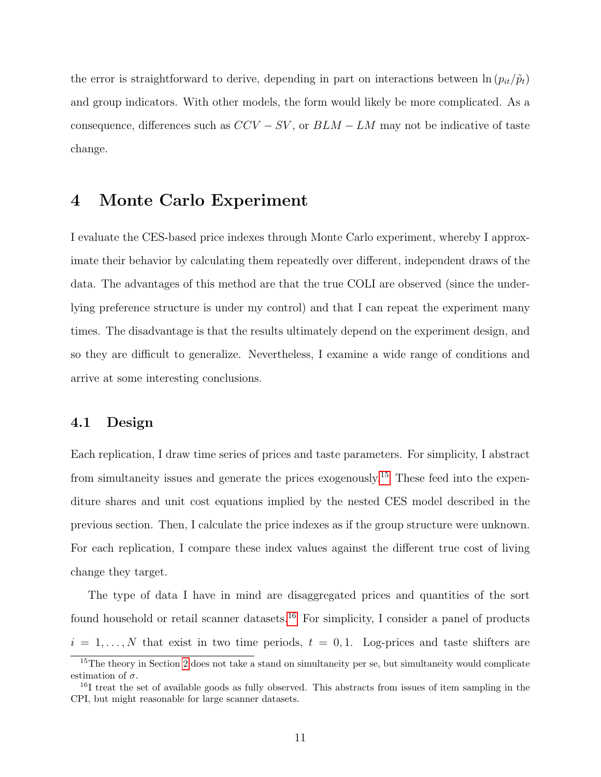the error is straightforward to derive, depending in part on interactions between  $\ln (p_{it}/\tilde{p}_t)$ and group indicators. With other models, the form would likely be more complicated. As a consequence, differences such as  $CCV - SV$ , or  $BLM - LM$  may not be indicative of taste change.

### 4 Monte Carlo Experiment

I evaluate the CES-based price indexes through Monte Carlo experiment, whereby I approximate their behavior by calculating them repeatedly over different, independent draws of the data. The advantages of this method are that the true COLI are observed (since the underlying preference structure is under my control) and that I can repeat the experiment many times. The disadvantage is that the results ultimately depend on the experiment design, and so they are difficult to generalize. Nevertheless, I examine a wide range of conditions and arrive at some interesting conclusions.

#### 4.1 Design

Each replication, I draw time series of prices and taste parameters. For simplicity, I abstract from simultaneity issues and generate the prices exogenously.<sup>[15](#page-11-0)</sup> These feed into the expenditure shares and unit cost equations implied by the nested CES model described in the previous section. Then, I calculate the price indexes as if the group structure were unknown. For each replication, I compare these index values against the different true cost of living change they target.

The type of data I have in mind are disaggregated prices and quantities of the sort found household or retail scanner datasets.<sup>[16](#page-11-1)</sup> For simplicity, I consider a panel of products  $i = 1, \ldots, N$  that exist in two time periods,  $t = 0, 1$ . Log-prices and taste shifters are

<span id="page-11-0"></span><sup>&</sup>lt;sup>15</sup>The theory in Section [2](#page-4-5) does not take a stand on simultaneity per se, but simultaneity would complicate estimation of  $\sigma$ .

<span id="page-11-1"></span><sup>&</sup>lt;sup>16</sup>I treat the set of available goods as fully observed. This abstracts from issues of item sampling in the CPI, but might reasonable for large scanner datasets.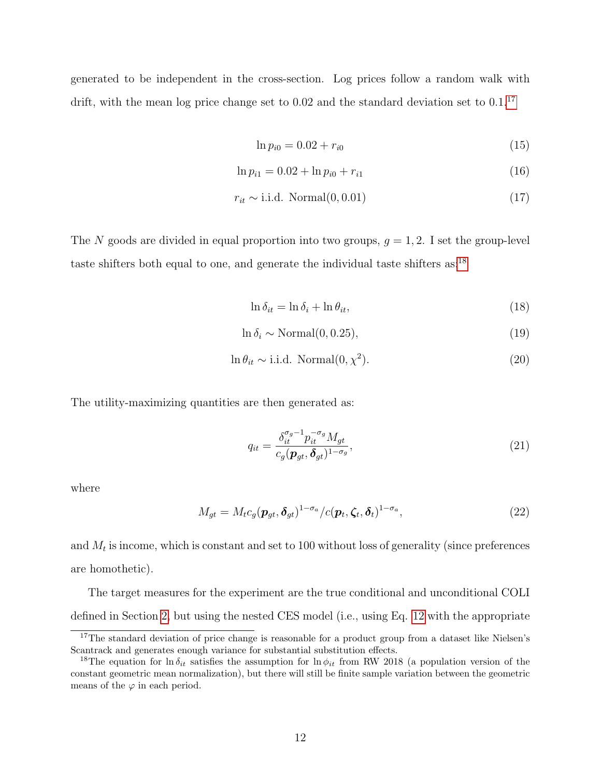generated to be independent in the cross-section. Log prices follow a random walk with drift, with the mean log price change set to  $0.02$  and the standard deviation set to  $0.1$ .<sup>[17](#page-12-0)</sup>

$$
\ln p_{i0} = 0.02 + r_{i0} \tag{15}
$$

$$
\ln p_{i1} = 0.02 + \ln p_{i0} + r_{i1} \tag{16}
$$

$$
r_{it} \sim i.i.d. Normal(0, 0.01)
$$
\n
$$
(17)
$$

The N goods are divided in equal proportion into two groups,  $q = 1, 2$ . I set the group-level taste shifters both equal to one, and generate the individual taste shifters as:[18](#page-12-1)

$$
\ln \delta_{it} = \ln \delta_i + \ln \theta_{it},\tag{18}
$$

$$
\ln \delta_i \sim \text{Normal}(0, 0.25),\tag{19}
$$

$$
\ln \theta_{it} \sim \text{i.i.d. Normal}(0, \chi^2). \tag{20}
$$

The utility-maximizing quantities are then generated as:

$$
q_{it} = \frac{\delta_{it}^{\sigma_g - 1} p_{it}^{-\sigma_g} M_{gt}}{c_g (\mathbf{p}_{gt}, \delta_{gt})^{1 - \sigma_g}},\tag{21}
$$

where

$$
M_{gt} = M_t c_g (\mathbf{p}_{gt}, \delta_{gt})^{1-\sigma_a} / c(\mathbf{p}_t, \zeta_t, \delta_t)^{1-\sigma_a},
$$
\n(22)

and  $M_t$  is income, which is constant and set to 100 without loss of generality (since preferences are homothetic).

The target measures for the experiment are the true conditional and unconditional COLI defined in Section [2,](#page-4-5) but using the nested CES model (i.e., using Eq. [12](#page-10-0) with the appropriate

<span id="page-12-0"></span><sup>&</sup>lt;sup>17</sup>The standard deviation of price change is reasonable for a product group from a dataset like Nielsen's Scantrack and generates enough variance for substantial substitution effects.

<span id="page-12-1"></span><sup>&</sup>lt;sup>18</sup>The equation for ln  $\delta_{it}$  satisfies the assumption for ln  $\phi_{it}$  from RW 2018 (a population version of the constant geometric mean normalization), but there will still be finite sample variation between the geometric means of the  $\varphi$  in each period.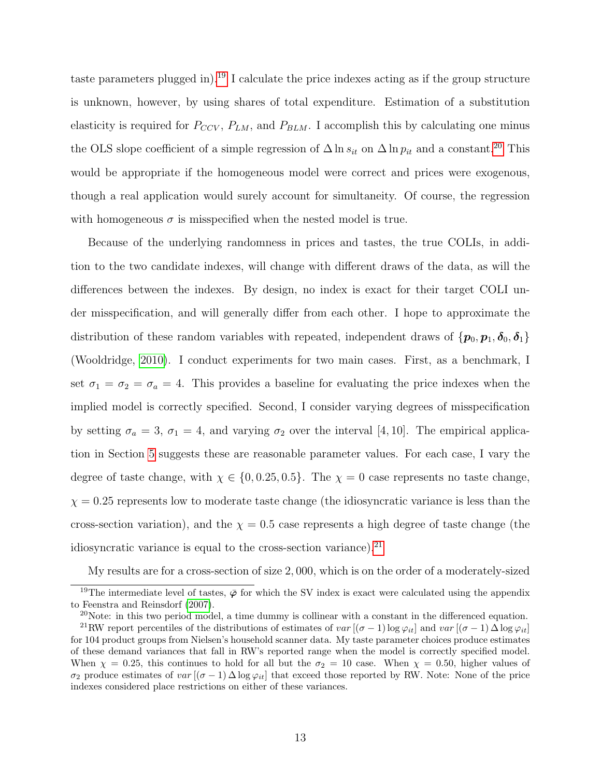taste parameters plugged in).<sup>[19](#page-13-0)</sup> I calculate the price indexes acting as if the group structure is unknown, however, by using shares of total expenditure. Estimation of a substitution elasticity is required for  $P_{CCV}$ ,  $P_{LM}$ , and  $P_{BLM}$ . I accomplish this by calculating one minus the OLS slope coefficient of a simple regression of  $\Delta \ln s_{it}$  on  $\Delta \ln p_{it}$  and a constant.<sup>[20](#page-13-1)</sup> This would be appropriate if the homogeneous model were correct and prices were exogenous, though a real application would surely account for simultaneity. Of course, the regression with homogeneous  $\sigma$  is misspecified when the nested model is true.

Because of the underlying randomness in prices and tastes, the true COLIs, in addition to the two candidate indexes, will change with different draws of the data, as will the differences between the indexes. By design, no index is exact for their target COLI under misspecification, and will generally differ from each other. I hope to approximate the distribution of these random variables with repeated, independent draws of  $\{p_0, p_1, \delta_0, \delta_1\}$ (Wooldridge, [2010\)](#page-23-7). I conduct experiments for two main cases. First, as a benchmark, I set  $\sigma_1 = \sigma_2 = \sigma_a = 4$ . This provides a baseline for evaluating the price indexes when the implied model is correctly specified. Second, I consider varying degrees of misspecification by setting  $\sigma_a = 3$ ,  $\sigma_1 = 4$ , and varying  $\sigma_2$  over the interval [4, 10]. The empirical application in Section [5](#page-16-0) suggests these are reasonable parameter values. For each case, I vary the degree of taste change, with  $\chi \in \{0, 0.25, 0.5\}$ . The  $\chi = 0$  case represents no taste change,  $\chi = 0.25$  represents low to moderate taste change (the idiosyncratic variance is less than the cross-section variation), and the  $\chi = 0.5$  case represents a high degree of taste change (the idiosyncratic variance is equal to the cross-section variance). $^{21}$  $^{21}$  $^{21}$ 

My results are for a cross-section of size 2, 000, which is on the order of a moderately-sized

<span id="page-13-0"></span><sup>&</sup>lt;sup>19</sup>The intermediate level of tastes,  $\bar{\varphi}$  for which the SV index is exact were calculated using the appendix to Feenstra and Reinsdorf [\(2007\)](#page-21-2).

<span id="page-13-2"></span><span id="page-13-1"></span> $20$ Note: in this two period model, a time dummy is collinear with a constant in the differenced equation.

<sup>&</sup>lt;sup>21</sup>RW report percentiles of the distributions of estimates of var  $[(\sigma - 1) \log \varphi_{it}]$  and var  $[(\sigma - 1) \Delta \log \varphi_{it}]$ for 104 product groups from Nielsen's household scanner data. My taste parameter choices produce estimates of these demand variances that fall in RW's reported range when the model is correctly specified model. When  $\chi = 0.25$ , this continues to hold for all but the  $\sigma_2 = 10$  case. When  $\chi = 0.50$ , higher values of σ<sub>2</sub> produce estimates of var  $[(σ - 1) \Delta \log φ_{it}]$  that exceed those reported by RW. Note: None of the price indexes considered place restrictions on either of these variances.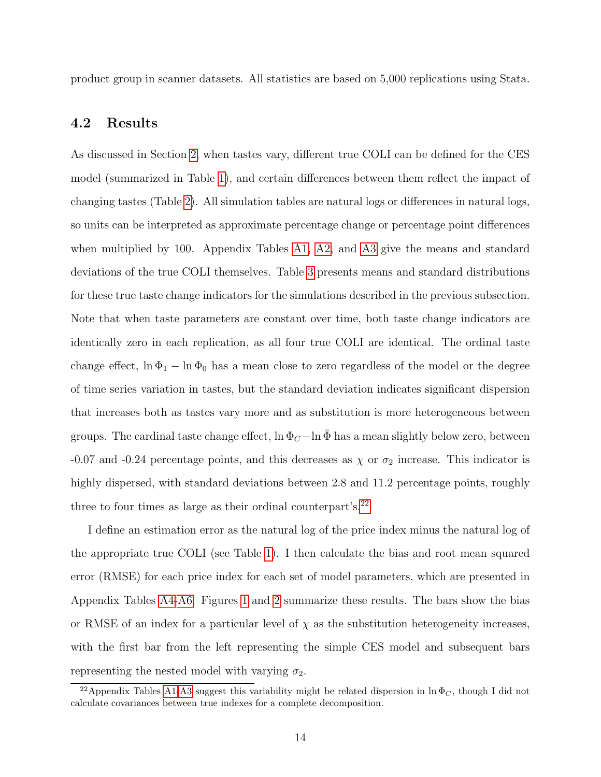product group in scanner datasets. All statistics are based on 5,000 replications using Stata.

#### 4.2 Results

As discussed in Section [2,](#page-4-5) when tastes vary, different true COLI can be defined for the CES model (summarized in Table [1\)](#page-24-0), and certain differences between them reflect the impact of changing tastes (Table [2\)](#page-24-1). All simulation tables are natural logs or differences in natural logs, so units can be interpreted as approximate percentage change or percentage point differences when multiplied by 100. Appendix Tables [A1,](#page-32-0) [A2,](#page-32-1) and [A3](#page-33-0) give the means and standard deviations of the true COLI themselves. Table [3](#page-24-2) presents means and standard distributions for these true taste change indicators for the simulations described in the previous subsection. Note that when taste parameters are constant over time, both taste change indicators are identically zero in each replication, as all four true COLI are identical. The ordinal taste change effect,  $\ln \Phi_1 - \ln \Phi_0$  has a mean close to zero regardless of the model or the degree of time series variation in tastes, but the standard deviation indicates significant dispersion that increases both as tastes vary more and as substitution is more heterogeneous between groups. The cardinal taste change effect,  $\ln \Phi_C - \ln \bar{\Phi}$  has a mean slightly below zero, between -0.07 and -0.24 percentage points, and this decreases as  $\chi$  or  $\sigma_2$  increase. This indicator is highly dispersed, with standard deviations between 2.8 and 11.2 percentage points, roughly three to four times as large as their ordinal counterpart's.<sup>[22](#page-14-0)</sup>

I define an estimation error as the natural log of the price index minus the natural log of the appropriate true COLI (see Table [1\)](#page-24-0). I then calculate the bias and root mean squared error (RMSE) for each price index for each set of model parameters, which are presented in Appendix Tables [A4](#page-33-1)[-A6.](#page-34-0) Figures [1](#page-28-0) and [2](#page-29-0) summarize these results. The bars show the bias or RMSE of an index for a particular level of  $\chi$  as the substitution heterogeneity increases, with the first bar from the left representing the simple CES model and subsequent bars representing the nested model with varying  $\sigma_2$ .

<span id="page-14-0"></span><sup>&</sup>lt;sup>22</sup>Appendix Tables [A1-](#page-32-0)[A3](#page-33-0) suggest this variability might be related dispersion in ln  $\Phi_C$ , though I did not calculate covariances between true indexes for a complete decomposition.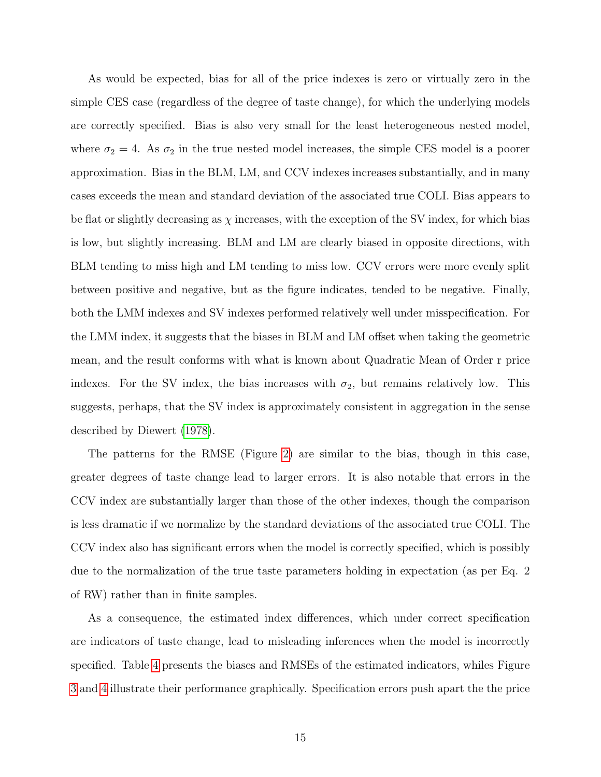As would be expected, bias for all of the price indexes is zero or virtually zero in the simple CES case (regardless of the degree of taste change), for which the underlying models are correctly specified. Bias is also very small for the least heterogeneous nested model, where  $\sigma_2 = 4$ . As  $\sigma_2$  in the true nested model increases, the simple CES model is a poorer approximation. Bias in the BLM, LM, and CCV indexes increases substantially, and in many cases exceeds the mean and standard deviation of the associated true COLI. Bias appears to be flat or slightly decreasing as  $\chi$  increases, with the exception of the SV index, for which bias is low, but slightly increasing. BLM and LM are clearly biased in opposite directions, with BLM tending to miss high and LM tending to miss low. CCV errors were more evenly split between positive and negative, but as the figure indicates, tended to be negative. Finally, both the LMM indexes and SV indexes performed relatively well under misspecification. For the LMM index, it suggests that the biases in BLM and LM offset when taking the geometric mean, and the result conforms with what is known about Quadratic Mean of Order r price indexes. For the SV index, the bias increases with  $\sigma_2$ , but remains relatively low. This suggests, perhaps, that the SV index is approximately consistent in aggregation in the sense described by Diewert [\(1978\)](#page-21-5).

The patterns for the RMSE (Figure [2\)](#page-29-0) are similar to the bias, though in this case, greater degrees of taste change lead to larger errors. It is also notable that errors in the CCV index are substantially larger than those of the other indexes, though the comparison is less dramatic if we normalize by the standard deviations of the associated true COLI. The CCV index also has significant errors when the model is correctly specified, which is possibly due to the normalization of the true taste parameters holding in expectation (as per Eq. 2 of RW) rather than in finite samples.

As a consequence, the estimated index differences, which under correct specification are indicators of taste change, lead to misleading inferences when the model is incorrectly specified. Table [4](#page-25-0) presents the biases and RMSEs of the estimated indicators, whiles Figure [3](#page-29-1) and [4](#page-30-0) illustrate their performance graphically. Specification errors push apart the the price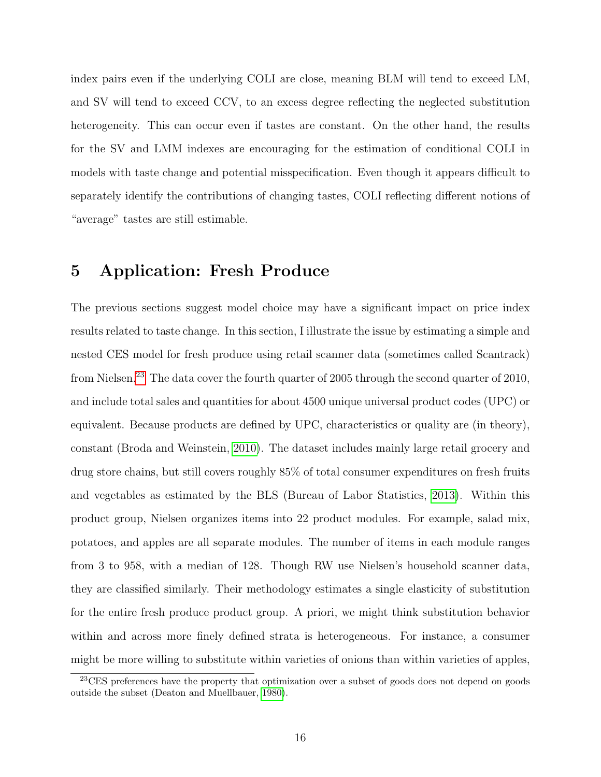index pairs even if the underlying COLI are close, meaning BLM will tend to exceed LM, and SV will tend to exceed CCV, to an excess degree reflecting the neglected substitution heterogeneity. This can occur even if tastes are constant. On the other hand, the results for the SV and LMM indexes are encouraging for the estimation of conditional COLI in models with taste change and potential misspecification. Even though it appears difficult to separately identify the contributions of changing tastes, COLI reflecting different notions of "average" tastes are still estimable.

### <span id="page-16-0"></span>5 Application: Fresh Produce

The previous sections suggest model choice may have a significant impact on price index results related to taste change. In this section, I illustrate the issue by estimating a simple and nested CES model for fresh produce using retail scanner data (sometimes called Scantrack) from Nielsen.<sup>[23](#page-16-1)</sup> The data cover the fourth quarter of 2005 through the second quarter of 2010, and include total sales and quantities for about 4500 unique universal product codes (UPC) or equivalent. Because products are defined by UPC, characteristics or quality are (in theory), constant (Broda and Weinstein, [2010\)](#page-20-0). The dataset includes mainly large retail grocery and drug store chains, but still covers roughly 85% of total consumer expenditures on fresh fruits and vegetables as estimated by the BLS (Bureau of Labor Statistics, [2013\)](#page-21-6). Within this product group, Nielsen organizes items into 22 product modules. For example, salad mix, potatoes, and apples are all separate modules. The number of items in each module ranges from 3 to 958, with a median of 128. Though RW use Nielsen's household scanner data, they are classified similarly. Their methodology estimates a single elasticity of substitution for the entire fresh produce product group. A priori, we might think substitution behavior within and across more finely defined strata is heterogeneous. For instance, a consumer might be more willing to substitute within varieties of onions than within varieties of apples,

<span id="page-16-1"></span><sup>&</sup>lt;sup>23</sup>CES preferences have the property that optimization over a subset of goods does not depend on goods outside the subset (Deaton and Muellbauer, [1980\)](#page-21-7).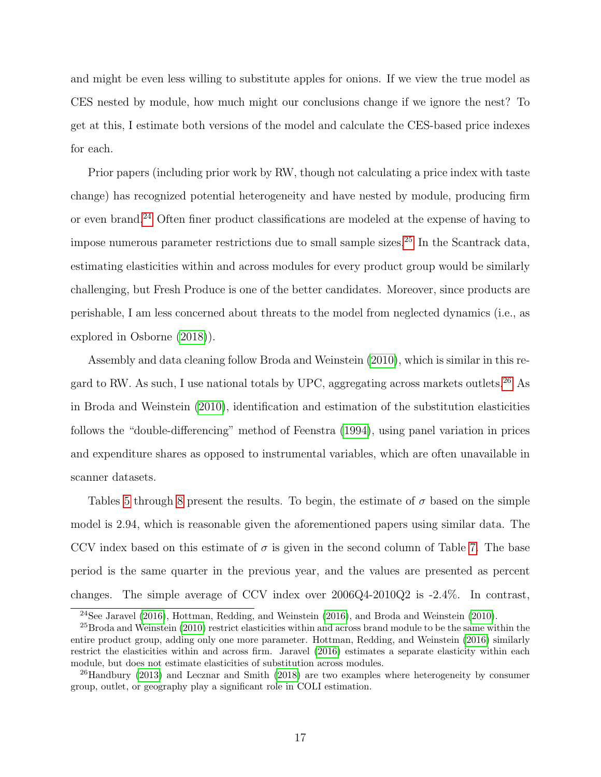and might be even less willing to substitute apples for onions. If we view the true model as CES nested by module, how much might our conclusions change if we ignore the nest? To get at this, I estimate both versions of the model and calculate the CES-based price indexes for each.

Prior papers (including prior work by RW, though not calculating a price index with taste change) has recognized potential heterogeneity and have nested by module, producing firm or even brand.[24](#page-17-0) Often finer product classifications are modeled at the expense of having to impose numerous parameter restrictions due to small sample sizes.[25](#page-17-1) In the Scantrack data, estimating elasticities within and across modules for every product group would be similarly challenging, but Fresh Produce is one of the better candidates. Moreover, since products are perishable, I am less concerned about threats to the model from neglected dynamics (i.e., as explored in Osborne [\(2018\)](#page-23-8)).

Assembly and data cleaning follow Broda and Weinstein [\(2010\)](#page-20-0), which is similar in this re-gard to RW. As such, I use national totals by UPC, aggregating across markets outlets.<sup>[26](#page-17-2)</sup> As in Broda and Weinstein [\(2010\)](#page-20-0), identification and estimation of the substitution elasticities follows the "double-differencing" method of Feenstra [\(1994\)](#page-21-1), using panel variation in prices and expenditure shares as opposed to instrumental variables, which are often unavailable in scanner datasets.

Tables [5](#page-25-1) through [8](#page-27-0) present the results. To begin, the estimate of  $\sigma$  based on the simple model is 2.94, which is reasonable given the aforementioned papers using similar data. The CCV index based on this estimate of  $\sigma$  is given in the second column of Table [7.](#page-27-1) The base period is the same quarter in the previous year, and the values are presented as percent changes. The simple average of CCV index over 2006Q4-2010Q2 is -2.4%. In contrast,

<span id="page-17-1"></span><span id="page-17-0"></span> $^{24}$ See Jaravel [\(2016\)](#page-22-8), Hottman, Redding, and Weinstein (2016), and Broda and Weinstein [\(2010\)](#page-20-0).

 $^{25}$ Broda and Weinstein [\(2010\)](#page-20-0) restrict elasticities within and across brand module to be the same within the entire product group, adding only one more parameter. Hottman, Redding, and Weinstein [\(2016\)](#page-22-8) similarly restrict the elasticities within and across firm. Jaravel [\(2016\)](#page-22-7) estimates a separate elasticity within each module, but does not estimate elasticities of substitution across modules.

<span id="page-17-2"></span> $^{26}$ Handbury [\(2013\)](#page-21-8) and Lecznar and Smith [\(2018\)](#page-22-9) are two examples where heterogeneity by consumer group, outlet, or geography play a significant role in COLI estimation.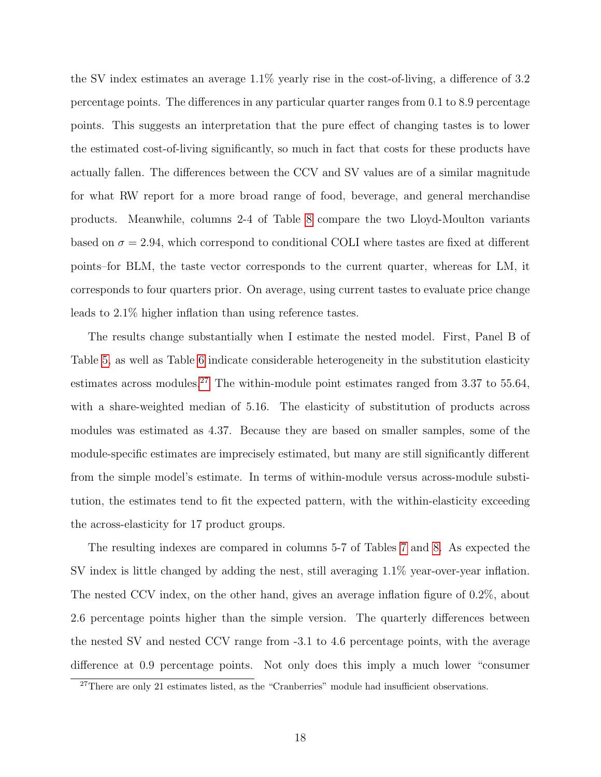the SV index estimates an average 1.1% yearly rise in the cost-of-living, a difference of 3.2 percentage points. The differences in any particular quarter ranges from 0.1 to 8.9 percentage points. This suggests an interpretation that the pure effect of changing tastes is to lower the estimated cost-of-living significantly, so much in fact that costs for these products have actually fallen. The differences between the CCV and SV values are of a similar magnitude for what RW report for a more broad range of food, beverage, and general merchandise products. Meanwhile, columns 2-4 of Table [8](#page-27-0) compare the two Lloyd-Moulton variants based on  $\sigma = 2.94$ , which correspond to conditional COLI where tastes are fixed at different points–for BLM, the taste vector corresponds to the current quarter, whereas for LM, it corresponds to four quarters prior. On average, using current tastes to evaluate price change leads to 2.1% higher inflation than using reference tastes.

The results change substantially when I estimate the nested model. First, Panel B of Table [5,](#page-25-1) as well as Table [6](#page-26-0) indicate considerable heterogeneity in the substitution elasticity estimates across modules.<sup>[27](#page-18-0)</sup> The within-module point estimates ranged from 3.37 to 55.64, with a share-weighted median of 5.16. The elasticity of substitution of products across modules was estimated as 4.37. Because they are based on smaller samples, some of the module-specific estimates are imprecisely estimated, but many are still significantly different from the simple model's estimate. In terms of within-module versus across-module substitution, the estimates tend to fit the expected pattern, with the within-elasticity exceeding the across-elasticity for 17 product groups.

The resulting indexes are compared in columns 5-7 of Tables [7](#page-27-1) and [8.](#page-27-0) As expected the SV index is little changed by adding the nest, still averaging 1.1% year-over-year inflation. The nested CCV index, on the other hand, gives an average inflation figure of 0.2%, about 2.6 percentage points higher than the simple version. The quarterly differences between the nested SV and nested CCV range from -3.1 to 4.6 percentage points, with the average difference at 0.9 percentage points. Not only does this imply a much lower "consumer

<span id="page-18-0"></span><sup>&</sup>lt;sup>27</sup>There are only 21 estimates listed, as the "Cranberries" module had insufficient observations.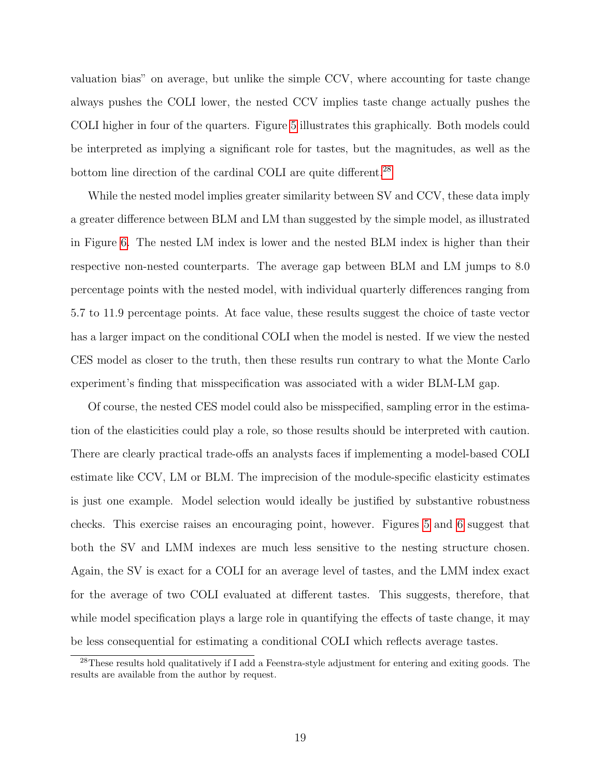valuation bias" on average, but unlike the simple CCV, where accounting for taste change always pushes the COLI lower, the nested CCV implies taste change actually pushes the COLI higher in four of the quarters. Figure [5](#page-30-1) illustrates this graphically. Both models could be interpreted as implying a significant role for tastes, but the magnitudes, as well as the bottom line direction of the cardinal COLI are quite different.<sup>[28](#page-19-0)</sup>

While the nested model implies greater similarity between SV and CCV, these data imply a greater difference between BLM and LM than suggested by the simple model, as illustrated in Figure [6.](#page-31-0) The nested LM index is lower and the nested BLM index is higher than their respective non-nested counterparts. The average gap between BLM and LM jumps to 8.0 percentage points with the nested model, with individual quarterly differences ranging from 5.7 to 11.9 percentage points. At face value, these results suggest the choice of taste vector has a larger impact on the conditional COLI when the model is nested. If we view the nested CES model as closer to the truth, then these results run contrary to what the Monte Carlo experiment's finding that misspecification was associated with a wider BLM-LM gap.

Of course, the nested CES model could also be misspecified, sampling error in the estimation of the elasticities could play a role, so those results should be interpreted with caution. There are clearly practical trade-offs an analysts faces if implementing a model-based COLI estimate like CCV, LM or BLM. The imprecision of the module-specific elasticity estimates is just one example. Model selection would ideally be justified by substantive robustness checks. This exercise raises an encouraging point, however. Figures [5](#page-30-1) and [6](#page-31-0) suggest that both the SV and LMM indexes are much less sensitive to the nesting structure chosen. Again, the SV is exact for a COLI for an average level of tastes, and the LMM index exact for the average of two COLI evaluated at different tastes. This suggests, therefore, that while model specification plays a large role in quantifying the effects of taste change, it may be less consequential for estimating a conditional COLI which reflects average tastes.

<span id="page-19-0"></span><sup>28</sup>These results hold qualitatively if I add a Feenstra-style adjustment for entering and exiting goods. The results are available from the author by request.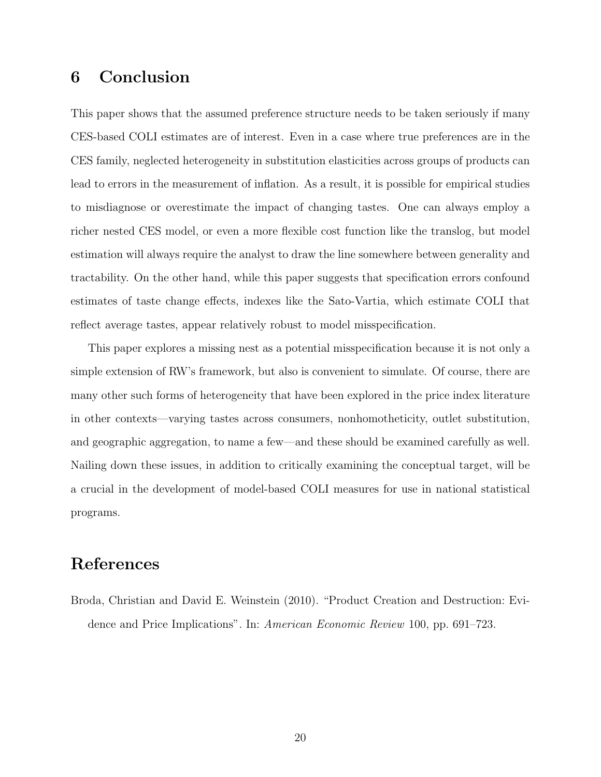### 6 Conclusion

This paper shows that the assumed preference structure needs to be taken seriously if many CES-based COLI estimates are of interest. Even in a case where true preferences are in the CES family, neglected heterogeneity in substitution elasticities across groups of products can lead to errors in the measurement of inflation. As a result, it is possible for empirical studies to misdiagnose or overestimate the impact of changing tastes. One can always employ a richer nested CES model, or even a more flexible cost function like the translog, but model estimation will always require the analyst to draw the line somewhere between generality and tractability. On the other hand, while this paper suggests that specification errors confound estimates of taste change effects, indexes like the Sato-Vartia, which estimate COLI that reflect average tastes, appear relatively robust to model misspecification.

This paper explores a missing nest as a potential misspecification because it is not only a simple extension of RW's framework, but also is convenient to simulate. Of course, there are many other such forms of heterogeneity that have been explored in the price index literature in other contexts—varying tastes across consumers, nonhomotheticity, outlet substitution, and geographic aggregation, to name a few—and these should be examined carefully as well. Nailing down these issues, in addition to critically examining the conceptual target, will be a crucial in the development of model-based COLI measures for use in national statistical programs.

### References

<span id="page-20-0"></span>Broda, Christian and David E. Weinstein (2010). "Product Creation and Destruction: Evidence and Price Implications". In: American Economic Review 100, pp. 691–723.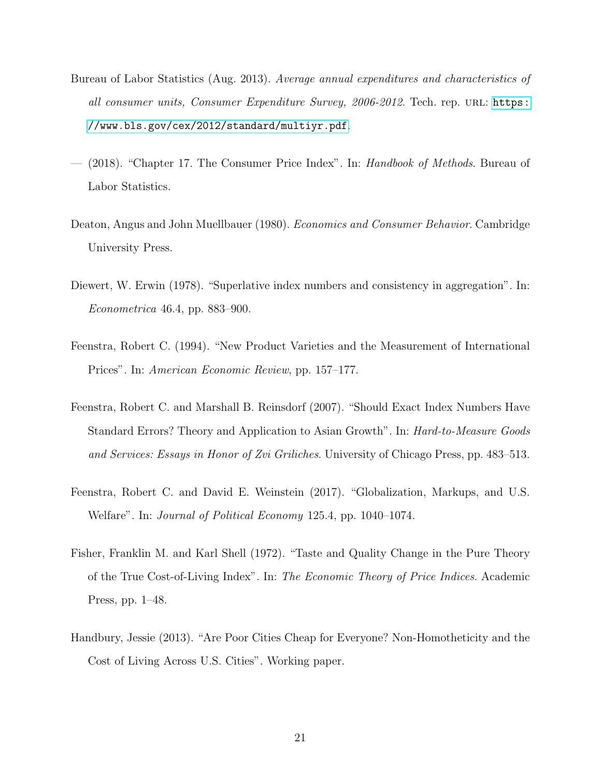- <span id="page-21-6"></span>Bureau of Labor Statistics (Aug. 2013). Average annual expenditures and characteristics of all consumer units, Consumer Expenditure Survey, 2006-2012. Tech. rep. URL: [https:](https://www.bls.gov/cex/2012/standard/multiyr.pdf) [//www.bls.gov/cex/2012/standard/multiyr.pdf](https://www.bls.gov/cex/2012/standard/multiyr.pdf).
- <span id="page-21-4"></span>(2018). "Chapter 17. The Consumer Price Index". In: Handbook of Methods. Bureau of Labor Statistics.
- <span id="page-21-7"></span>Deaton, Angus and John Muellbauer (1980). Economics and Consumer Behavior. Cambridge University Press.
- <span id="page-21-5"></span>Diewert, W. Erwin (1978). "Superlative index numbers and consistency in aggregation". In: Econometrica 46.4, pp. 883–900.
- <span id="page-21-1"></span>Feenstra, Robert C. (1994). "New Product Varieties and the Measurement of International Prices". In: *American Economic Review*, pp. 157–177.
- <span id="page-21-2"></span>Feenstra, Robert C. and Marshall B. Reinsdorf (2007). "Should Exact Index Numbers Have Standard Errors? Theory and Application to Asian Growth". In: *Hard-to-Measure Goods* and Services: Essays in Honor of Zvi Griliches. University of Chicago Press, pp. 483–513.
- <span id="page-21-3"></span>Feenstra, Robert C. and David E. Weinstein (2017). "Globalization, Markups, and U.S. Welfare". In: Journal of Political Economy 125.4, pp. 1040–1074.
- <span id="page-21-0"></span>Fisher, Franklin M. and Karl Shell (1972). "Taste and Quality Change in the Pure Theory of the True Cost-of-Living Index". In: The Economic Theory of Price Indices. Academic Press, pp. 1–48.
- <span id="page-21-8"></span>Handbury, Jessie (2013). "Are Poor Cities Cheap for Everyone? Non-Homotheticity and the Cost of Living Across U.S. Cities". Working paper.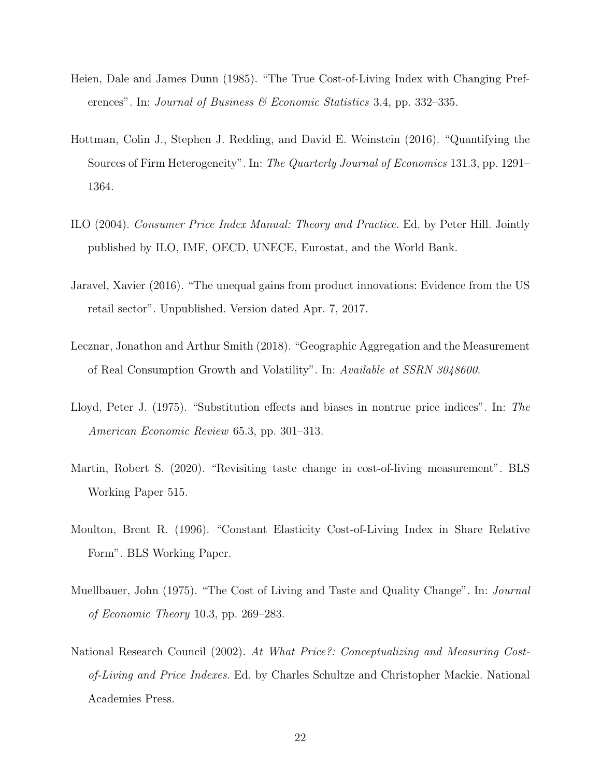- <span id="page-22-3"></span>Heien, Dale and James Dunn (1985). "The True Cost-of-Living Index with Changing Preferences". In: Journal of Business  $\mathscr$  Economic Statistics 3.4, pp. 332–335.
- <span id="page-22-8"></span>Hottman, Colin J., Stephen J. Redding, and David E. Weinstein (2016). "Quantifying the Sources of Firm Heterogeneity". In: *The Quarterly Journal of Economics* 131.3, pp. 1291– 1364.
- <span id="page-22-2"></span>ILO (2004). Consumer Price Index Manual: Theory and Practice. Ed. by Peter Hill. Jointly published by ILO, IMF, OECD, UNECE, Eurostat, and the World Bank.
- <span id="page-22-7"></span>Jaravel, Xavier (2016). "The unequal gains from product innovations: Evidence from the US retail sector". Unpublished. Version dated Apr. 7, 2017.
- <span id="page-22-9"></span>Lecznar, Jonathon and Arthur Smith (2018). "Geographic Aggregation and the Measurement of Real Consumption Growth and Volatility". In: Available at SSRN 3048600.
- <span id="page-22-4"></span>Lloyd, Peter J. (1975). "Substitution effects and biases in nontrue price indices". In: The American Economic Review 65.3, pp. 301–313.
- <span id="page-22-0"></span>Martin, Robert S. (2020). "Revisiting taste change in cost-of-living measurement". BLS Working Paper 515.
- <span id="page-22-5"></span>Moulton, Brent R. (1996). "Constant Elasticity Cost-of-Living Index in Share Relative Form". BLS Working Paper.
- <span id="page-22-6"></span>Muellbauer, John (1975). "The Cost of Living and Taste and Quality Change". In: *Journal* of Economic Theory 10.3, pp. 269–283.
- <span id="page-22-1"></span>National Research Council (2002). At What Price?: Conceptualizing and Measuring Costof-Living and Price Indexes. Ed. by Charles Schultze and Christopher Mackie. National Academies Press.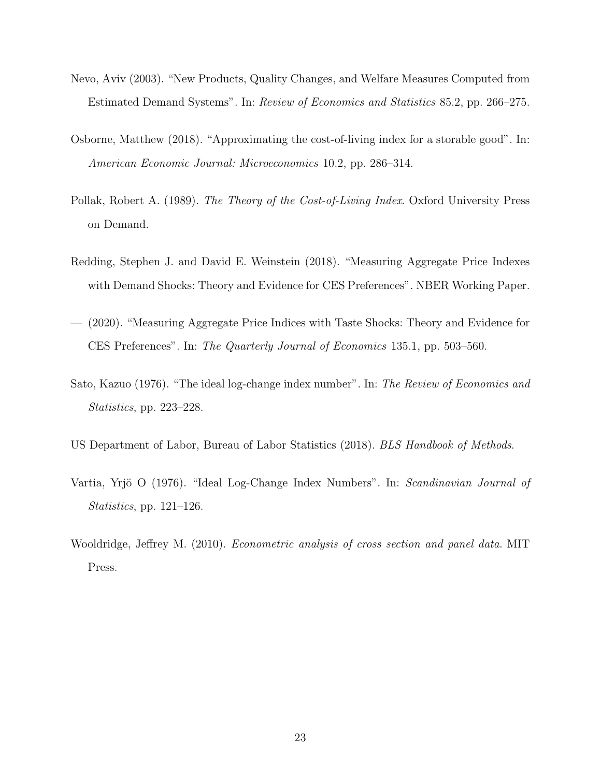- <span id="page-23-3"></span>Nevo, Aviv (2003). "New Products, Quality Changes, and Welfare Measures Computed from Estimated Demand Systems". In: Review of Economics and Statistics 85.2, pp. 266–275.
- <span id="page-23-8"></span>Osborne, Matthew (2018). "Approximating the cost-of-living index for a storable good". In: American Economic Journal: Microeconomics 10.2, pp. 286–314.
- <span id="page-23-4"></span>Pollak, Robert A. (1989). The Theory of the Cost-of-Living Index. Oxford University Press on Demand.
- <span id="page-23-2"></span>Redding, Stephen J. and David E. Weinstein (2018). "Measuring Aggregate Price Indexes with Demand Shocks: Theory and Evidence for CES Preferences". NBER Working Paper.
- <span id="page-23-0"></span>— (2020). "Measuring Aggregate Price Indices with Taste Shocks: Theory and Evidence for CES Preferences". In: The Quarterly Journal of Economics 135.1, pp. 503–560.
- <span id="page-23-5"></span>Sato, Kazuo (1976). "The ideal log-change index number". In: The Review of Economics and Statistics, pp. 223–228.
- <span id="page-23-1"></span>US Department of Labor, Bureau of Labor Statistics (2018). BLS Handbook of Methods.
- <span id="page-23-6"></span>Vartia, Yrjö O (1976). "Ideal Log-Change Index Numbers". In: Scandinavian Journal of Statistics, pp. 121–126.
- <span id="page-23-7"></span>Wooldridge, Jeffrey M. (2010). *Econometric analysis of cross section and panel data*. MIT Press.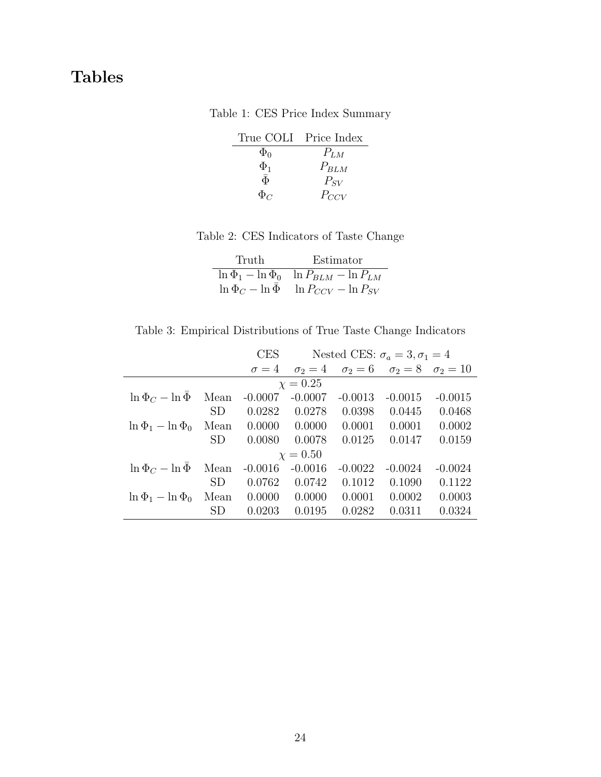## <span id="page-24-0"></span>Tables

Table 1: CES Price Index Summary

|              | True COLI Price Index |
|--------------|-----------------------|
| $\Phi_0$     | $P_{LM}$              |
| $\Phi_1$     | $P_{BLM}$             |
| $\bar{\Phi}$ | $P_{SV}$              |
| $\Phi_C$     | $P_{CCV}$             |

Table 2: CES Indicators of Taste Change

| Truth | Estimator                                            |  |  |  |
|-------|------------------------------------------------------|--|--|--|
|       | $\ln \Phi_1 - \ln \Phi_0$ $\ln P_{BLM} - \ln P_{LM}$ |  |  |  |
|       | $\ln \Phi_C - \ln \Phi$ $\ln P_{CCV} - \ln P_{SV}$   |  |  |  |

<span id="page-24-1"></span>Table 3: Empirical Distributions of True Taste Change Indicators

<span id="page-24-2"></span>

|                           |                 | <b>CES</b>   | Nested CES: $\sigma_a = 3, \sigma_1 = 4$ |              |                                |           |
|---------------------------|-----------------|--------------|------------------------------------------|--------------|--------------------------------|-----------|
|                           |                 | $\sigma = 4$ | $\sigma_2=4$                             | $\sigma_2=6$ | $\sigma_2 = 8$ $\sigma_2 = 10$ |           |
|                           |                 |              | $\chi = 0.25$                            |              |                                |           |
| $\ln \Phi_C - \ln \Phi$   | Mean            | $-0.0007$    | $-0.0007$                                | $-0.0013$    | $-0.0015$                      | $-0.0015$ |
|                           | SD              | 0.0282       | 0.0278                                   | 0.0398       | 0.0445                         | 0.0468    |
| $\ln \Phi_1 - \ln \Phi_0$ | Mean            | 0.0000       | 0.0000                                   | 0.0001       | 0.0001                         | 0.0002    |
|                           | SD              | 0.0080       | 0.0078                                   | 0.0125       | 0.0147                         | 0.0159    |
|                           |                 |              | $\chi = 0.50$                            |              |                                |           |
| $\ln \Phi_C - \ln \Phi$   | Mean            | $-0.0016$    | $-0.0016$                                | $-0.0022$    | $-0.0024$                      | $-0.0024$ |
|                           | SD <sub>.</sub> | 0.0762       | 0.0742                                   | 0.1012       | 0.1090                         | 0.1122    |
| $\ln \Phi_1 - \ln \Phi_0$ | Mean            | 0.0000       | 0.0000                                   | 0.0001       | 0.0002                         | 0.0003    |
|                           | SD              | 0.0203       | 0.0195                                   | 0.0282       | 0.0311                         | 0.0324    |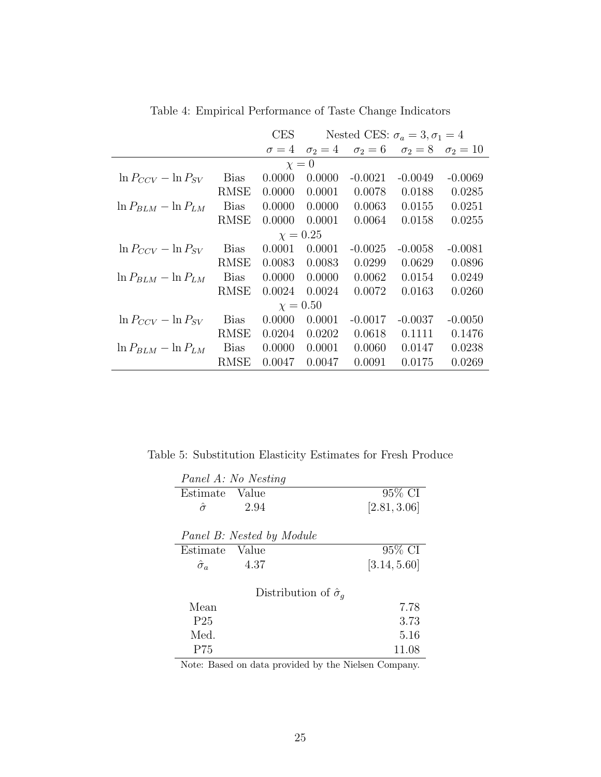Table 4: Empirical Performance of Taste Change Indicators

<span id="page-25-0"></span>

|                            |             | <b>CES</b>   | Nested CES: $\sigma_a = 3, \sigma_1 = 4$ |              |              |               |  |  |
|----------------------------|-------------|--------------|------------------------------------------|--------------|--------------|---------------|--|--|
|                            |             | $\sigma = 4$ | $\sigma_2=4$                             | $\sigma_2=6$ | $\sigma_2=8$ | $\sigma_2=10$ |  |  |
| $\chi=0$                   |             |              |                                          |              |              |               |  |  |
| $\ln P_{CCV} - \ln P_{SV}$ | <b>Bias</b> | 0.0000       | 0.0000                                   | $-0.0021$    | $-0.0049$    | $-0.0069$     |  |  |
|                            | <b>RMSE</b> | 0.0000       | 0.0001                                   | 0.0078       | 0.0188       | 0.0285        |  |  |
| $\ln P_{BLM} - \ln P_{LM}$ | Bias        | 0.0000       | 0.0000                                   | 0.0063       | 0.0155       | 0.0251        |  |  |
|                            | RMSE        | 0.0000       | 0.0001                                   | 0.0064       | 0.0158       | 0.0255        |  |  |
|                            |             |              | $\chi = 0.25$                            |              |              |               |  |  |
| $\ln P_{CCV} - \ln P_{SV}$ | <b>Bias</b> | 0.0001       | 0.0001                                   | $-0.0025$    | $-0.0058$    | $-0.0081$     |  |  |
|                            | RMSE        | 0.0083       | 0.0083                                   | 0.0299       | 0.0629       | 0.0896        |  |  |
| $\ln P_{BLM} - \ln P_{LM}$ | <b>Bias</b> | 0.0000       | 0.0000                                   | 0.0062       | 0.0154       | 0.0249        |  |  |
|                            | <b>RMSE</b> | 0.0024       | 0.0024                                   | 0.0072       | 0.0163       | 0.0260        |  |  |
|                            |             |              | $\chi = 0.50$                            |              |              |               |  |  |
| $\ln P_{CCV} - \ln P_{SV}$ | <b>Bias</b> | 0.0000       | 0.0001                                   | $-0.0017$    | $-0.0037$    | $-0.0050$     |  |  |
|                            | RMSE        | 0.0204       | 0.0202                                   | 0.0618       | 0.1111       | 0.1476        |  |  |
| $\ln P_{BLM} - \ln P_{LM}$ | <b>Bias</b> | 0.0000       | 0.0001                                   | 0.0060       | 0.0147       | 0.0238        |  |  |
|                            | <b>RMSE</b> | 0.0047       | 0.0047                                   | 0.0091       | 0.0175       | 0.0269        |  |  |

<span id="page-25-1"></span>Table 5: Substitution Elasticity Estimates for Fresh Produce

| Panel A: No Nesting              |              |
|----------------------------------|--------------|
| Value<br>Estimate                | 95% CI       |
| 2.94<br>$\hat{\sigma}$           | [2.81, 3.06] |
|                                  |              |
| Panel B: Nested by Module        |              |
| Estimate<br>Value                | 95\% CI      |
| $\hat{\sigma}_a$<br>4.37         | [3.14, 5.60] |
| Distribution of $\hat{\sigma}_q$ |              |
| Mean                             | 7.78         |
| P <sub>25</sub>                  | 3.73         |
| Med.                             | 5.16         |
| P75                              | 11.08        |

Note: Based on data provided by the Nielsen Company.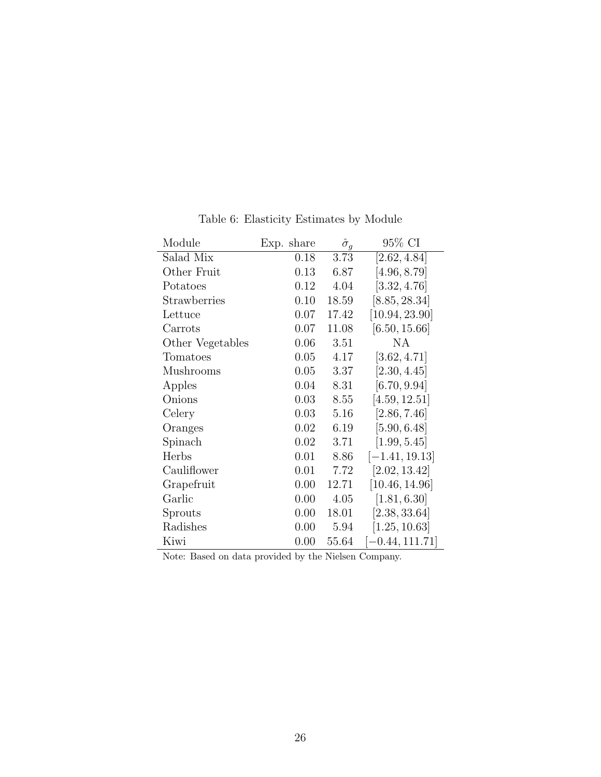<span id="page-26-0"></span>

| Module           | Exp. share | $\hat{\sigma}_g$ | 95% CI            |
|------------------|------------|------------------|-------------------|
| Salad Mix        | 0.18       | 3.73             | [2.62, 4.84]      |
| Other Fruit      | 0.13       | 6.87             | [4.96, 8.79]      |
| Potatoes         | 0.12       | 4.04             | [3.32, 4.76]      |
| Strawberries     | 0.10       | 18.59            | [8.85, 28.34]     |
| Lettuce          | 0.07       | 17.42            | [10.94, 23.90]    |
| Carrots          | 0.07       | 11.08            | [6.50, 15.66]     |
| Other Vegetables | 0.06       | 3.51             | NA                |
| Tomatoes         | 0.05       | 4.17             | [3.62, 4.71]      |
| Mushrooms        | 0.05       | 3.37             | [2.30, 4.45]      |
| Apples           | 0.04       | 8.31             | [6.70, 9.94]      |
| Onions           | 0.03       | 8.55             | [4.59, 12.51]     |
| Celery           | 0.03       | 5.16             | [2.86, 7.46]      |
| Oranges          | 0.02       | 6.19             | [5.90, 6.48]      |
| Spinach          | 0.02       | 3.71             | [1.99, 5.45]      |
| Herbs            | 0.01       | 8.86             | $[-1.41, 19.13]$  |
| Cauliflower      | 0.01       | 7.72             | [2.02, 13.42]     |
| Grapefruit       | 0.00       | 12.71            | [10.46, 14.96]    |
| Garlic           | 0.00       | 4.05             | [1.81, 6.30]      |
| Sprouts          | 0.00       | 18.01            | [2.38, 33.64]     |
| Radishes         | 0.00       | 5.94             | [1.25, 10.63]     |
| Kiwi             | 0.00       | 55.64            | $[-0.44, 111.71]$ |

Table 6: Elasticity Estimates by Module

Note: Based on data provided by the Nielsen Company.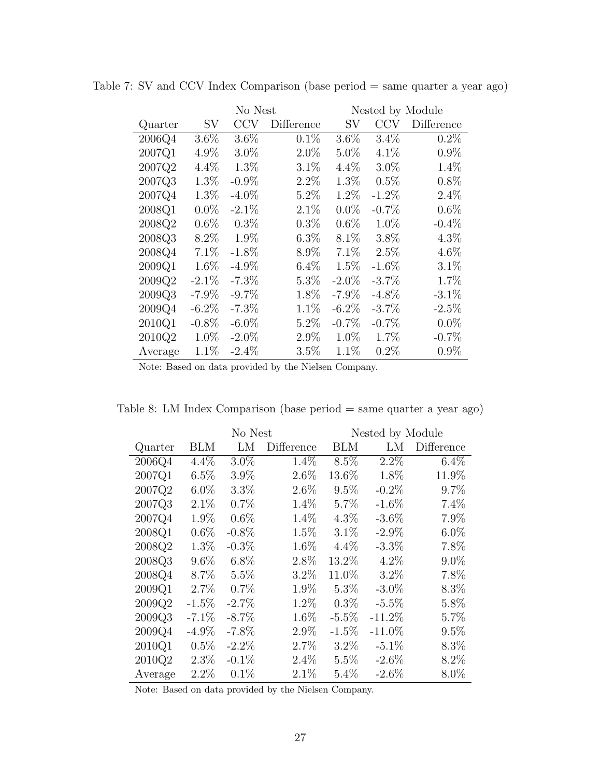|         |          | No Nest  |            |          | Nested by Module |            |  |  |
|---------|----------|----------|------------|----------|------------------|------------|--|--|
| Quarter | SV       | CCV      | Difference | SV       | CCV              | Difference |  |  |
| 2006Q4  | $3.6\%$  | $3.6\%$  | 0.1%       | 3.6%     | 3.4%             | $0.2\%$    |  |  |
| 2007Q1  | 4.9%     | $3.0\%$  | $2.0\%$    | $5.0\%$  | 4.1%             | $0.9\%$    |  |  |
| 2007Q2  | 4.4%     | 1.3%     | 3.1%       | 4.4%     | $3.0\%$          | 1.4%       |  |  |
| 2007Q3  | 1.3%     | $-0.9\%$ | 2.2%       | 1.3%     | 0.5%             | 0.8%       |  |  |
| 2007Q4  | 1.3%     | $-4.0\%$ | 5.2%       | 1.2%     | $-1.2\%$         | 2.4%       |  |  |
| 2008Q1  | $0.0\%$  | $-2.1\%$ | 2.1%       | $0.0\%$  | $-0.7\%$         | 0.6%       |  |  |
| 2008Q2  | $0.6\%$  | $0.3\%$  | $0.3\%$    | $0.6\%$  | $1.0\%$          | $-0.4\%$   |  |  |
| 2008Q3  | 8.2%     | 1.9%     | $6.3\%$    | 8.1%     | 3.8%             | $4.3\%$    |  |  |
| 2008Q4  | 7.1%     | $-1.8\%$ | 8.9%       | 7.1%     | 2.5%             | 4.6%       |  |  |
| 2009Q1  | 1.6%     | $-4.9\%$ | $6.4\%$    | 1.5%     | $-1.6\%$         | 3.1%       |  |  |
| 2009Q2  | $-2.1\%$ | $-7.3\%$ | 5.3%       | $-2.0\%$ | $-3.7\%$         | 1.7%       |  |  |
| 2009Q3  | $-7.9\%$ | $-9.7\%$ | 1.8%       | $-7.9\%$ | $-4.8\%$         | $-3.1\%$   |  |  |
| 2009Q4  | $-6.2\%$ | $-7.3\%$ | 1.1%       | $-6.2\%$ | $-3.7\%$         | $-2.5\%$   |  |  |
| 2010Q1  | $-0.8\%$ | $-6.0\%$ | 5.2%       | $-0.7\%$ | $-0.7\%$         | $0.0\%$    |  |  |
| 2010Q2  | 1.0%     | $-2.0\%$ | 2.9%       | 1.0%     | 1.7%             | $-0.7%$    |  |  |
| Average | 1.1%     | $-2.4\%$ | 3.5%       | 1.1%     | 0.2%             | $0.9\%$    |  |  |

<span id="page-27-1"></span>Table 7: SV and CCV Index Comparison (base period = same quarter a year ago)

Note: Based on data provided by the Nielsen Company.

<span id="page-27-0"></span>

| Table 8: LM Index Comparison (base period $=$ same quarter a year ago) |  |  |  |
|------------------------------------------------------------------------|--|--|--|
|------------------------------------------------------------------------|--|--|--|

|         |          | No Nest  |            |            | Nested by Module |            |  |  |
|---------|----------|----------|------------|------------|------------------|------------|--|--|
| Quarter | BLM      | LM       | Difference | <b>BLM</b> | LM               | Difference |  |  |
| 2006Q4  | $4.4\%$  | $3.0\%$  | $1.4\%$    | $8.5\%$    | $2.2\%$          | $6.4\%$    |  |  |
| 2007Q1  | 6.5%     | 3.9%     | 2.6%       | 13.6%      | 1.8%             | 11.9%      |  |  |
| 2007Q2  | $6.0\%$  | $3.3\%$  | 2.6%       | 9.5%       | $-0.2\%$         | 9.7%       |  |  |
| 2007Q3  | 2.1%     | 0.7%     | 1.4%       | 5.7%       | $-1.6\%$         | 7.4%       |  |  |
| 2007Q4  | 1.9%     | $0.6\%$  | 1.4%       | $4.3\%$    | $-3.6\%$         | 7.9%       |  |  |
| 2008Q1  | $0.6\%$  | $-0.8\%$ | 1.5%       | 3.1%       | $-2.9\%$         | $6.0\%$    |  |  |
| 2008Q2  | 1.3%     | $-0.3\%$ | 1.6%       | $4.4\%$    | $-3.3\%$         | 7.8%       |  |  |
| 2008Q3  | $9.6\%$  | $6.8\%$  | 2.8%       | 13.2%      | $4.2\%$          | $9.0\%$    |  |  |
| 2008Q4  | 8.7%     | 5.5%     | $3.2\%$    | 11.0%      | 3.2%             | 7.8%       |  |  |
| 2009Q1  | 2.7%     | 0.7%     | 1.9%       | 5.3%       | $-3.0\%$         | 8.3%       |  |  |
| 2009Q2  | $-1.5\%$ | $-2.7\%$ | 1.2%       | $0.3\%$    | $-5.5\%$         | 5.8%       |  |  |
| 2009Q3  | $-7.1\%$ | $-8.7\%$ | 1.6%       | $-5.5\%$   | $-11.2\%$        | 5.7%       |  |  |
| 2009Q4  | $-4.9\%$ | $-7.8\%$ | 2.9%       | $-1.5\%$   | $-11.0\%$        | 9.5%       |  |  |
| 2010Q1  | 0.5%     | $-2.2\%$ | 2.7%       | 3.2%       | $-5.1\%$         | 8.3%       |  |  |
| 2010Q2  | 2.3%     | $-0.1\%$ | 2.4%       | 5.5%       | $-2.6\%$         | 8.2%       |  |  |
| Average | 2.2%     | 0.1%     | 2.1%       | 5.4%       | $-2.6\%$         | 8.0%       |  |  |

Note: Based on data provided by the Nielsen Company.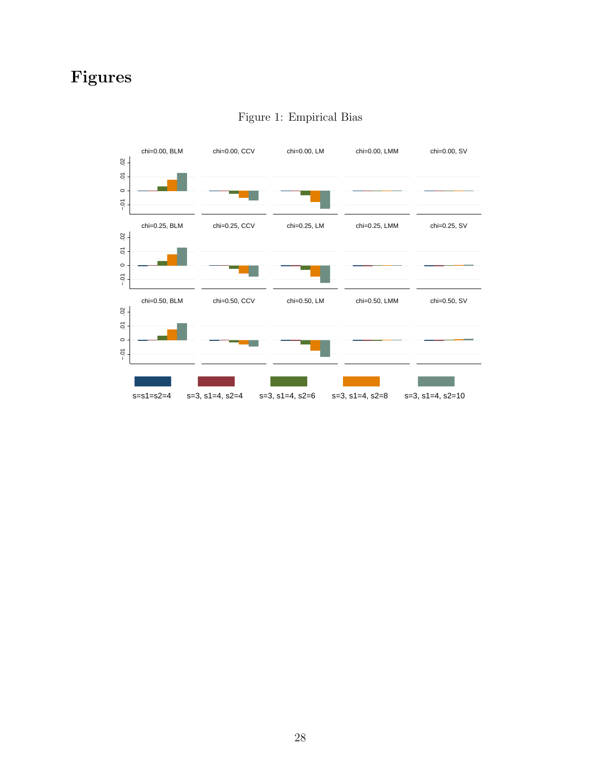# <span id="page-28-0"></span>Figures



### Figure 1: Empirical Bias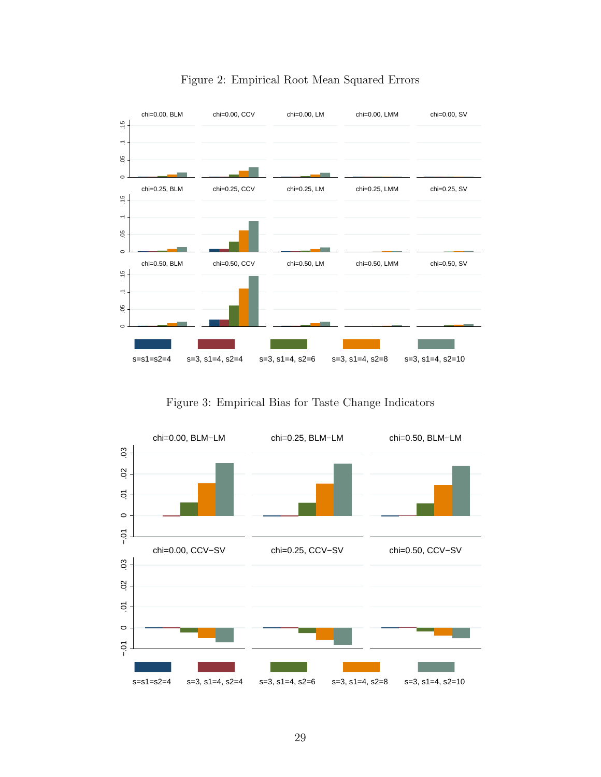<span id="page-29-0"></span>

#### Figure 2: Empirical Root Mean Squared Errors

Figure 3: Empirical Bias for Taste Change Indicators

<span id="page-29-1"></span>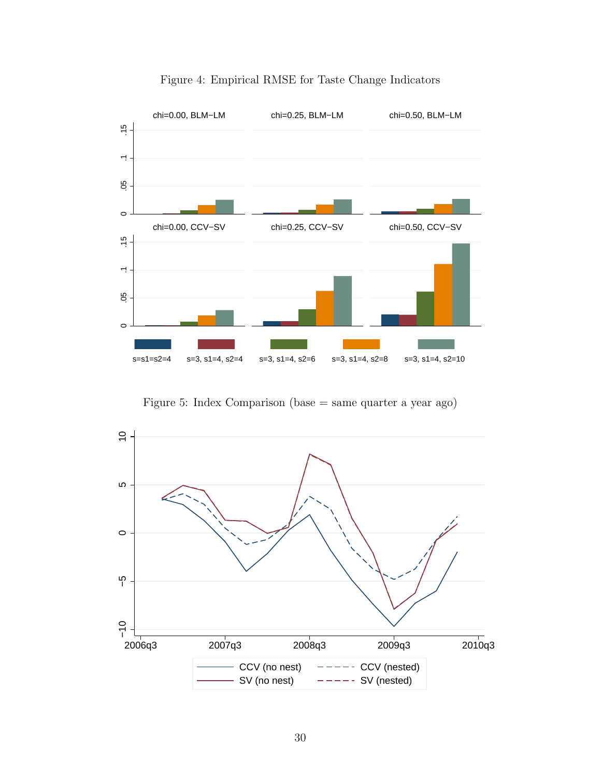<span id="page-30-0"></span>

Figure 4: Empirical RMSE for Taste Change Indicators

Figure 5: Index Comparison (base = same quarter a year ago)

<span id="page-30-1"></span>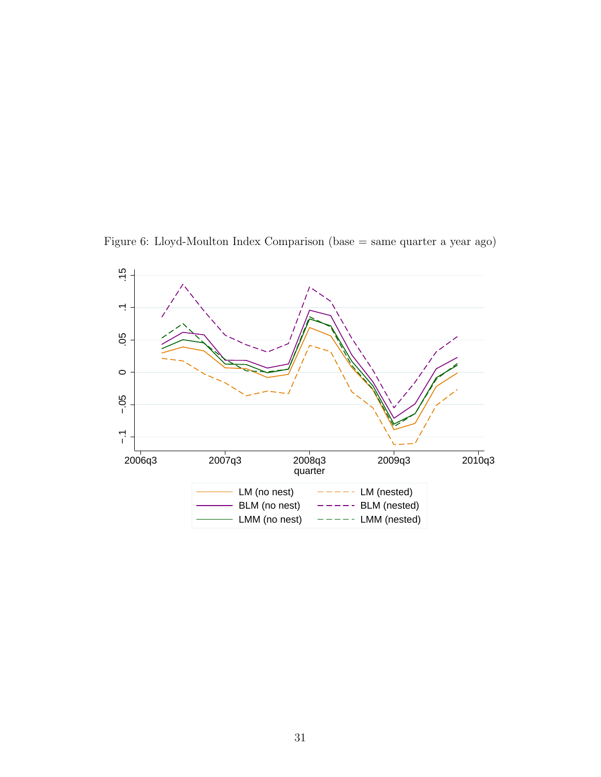<span id="page-31-0"></span>Figure 6: Lloyd-Moulton Index Comparison (base = same quarter a year ago)

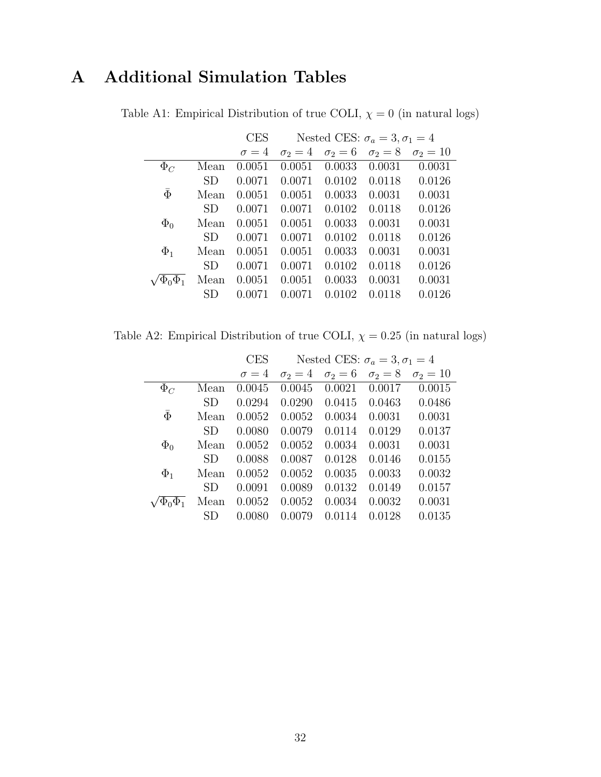# <span id="page-32-0"></span>A Additional Simulation Tables

|  | Table A1: Empirical Distribution of true COLI, $\chi = 0$ (in natural logs) |  |  |  |
|--|-----------------------------------------------------------------------------|--|--|--|
|  |                                                                             |  |  |  |

|              |           | <b>CES</b>   | Nested CES: $\sigma_a = 3, \sigma_1 = 4$ |              |              |                 |  |
|--------------|-----------|--------------|------------------------------------------|--------------|--------------|-----------------|--|
|              |           | $\sigma = 4$ | $\sigma_2=4$                             | $\sigma_2=6$ | $\sigma_2=8$ | $\sigma_2 = 10$ |  |
| $\Phi_C$     | Mean      | 0.0051       | 0.0051                                   | 0.0033       | 0.0031       | 0.0031          |  |
|              | SD        | 0.0071       | 0.0071                                   | 0.0102       | 0.0118       | 0.0126          |  |
| $\bar{\Phi}$ | Mean      | 0.0051       | 0.0051                                   | 0.0033       | 0.0031       | 0.0031          |  |
|              | <b>SD</b> | 0.0071       | 0.0071                                   | 0.0102       | 0.0118       | 0.0126          |  |
| $\Phi_0$     | Mean      | 0.0051       | 0.0051                                   | 0.0033       | 0.0031       | 0.0031          |  |
|              | SD        | 0.0071       | 0.0071                                   | 0.0102       | 0.0118       | 0.0126          |  |
| $\Phi_1$     | Mean      | 0.0051       | 0.0051                                   | 0.0033       | 0.0031       | 0.0031          |  |
|              | SD        | 0.0071       | 0.0071                                   | 0.0102       | 0.0118       | 0.0126          |  |
|              | Mean      | 0.0051       | 0.0051                                   | 0.0033       | 0.0031       | 0.0031          |  |
|              | SD        | 0.0071       | 0.0071                                   | 0.0102       | 0.0118       | 0.0126          |  |

<span id="page-32-1"></span>Table A2: Empirical Distribution of true COLI,  $\chi=0.25$  (in natural logs)

|              |      | <b>CES</b>   | Nested CES: $\sigma_a = 3, \sigma_1 = 4$ |              |              |                 |  |
|--------------|------|--------------|------------------------------------------|--------------|--------------|-----------------|--|
|              |      | $\sigma = 4$ | $\sigma_2=4$                             | $\sigma_2=6$ | $\sigma_2=8$ | $\sigma_2 = 10$ |  |
| $\Phi_C$     | Mean | 0.0045       | 0.0045                                   | 0.0021       | 0.0017       | 0.0015          |  |
|              | SD.  | 0.0294       | 0.0290                                   | 0.0415       | 0.0463       | 0.0486          |  |
| $\bar{\Phi}$ | Mean | 0.0052       | 0.0052                                   | 0.0034       | 0.0031       | 0.0031          |  |
|              | SD.  | 0.0080       | 0.0079                                   | 0.0114       | 0.0129       | 0.0137          |  |
| $\Phi_0$     | Mean | 0.0052       | 0.0052                                   | 0.0034       | 0.0031       | 0.0031          |  |
|              | SD.  | 0.0088       | 0.0087                                   | 0.0128       | 0.0146       | 0.0155          |  |
| $\Phi_1$     | Mean | 0.0052       | 0.0052                                   | 0.0035       | 0.0033       | 0.0032          |  |
|              | SD.  | 0.0091       | 0.0089                                   | 0.0132       | 0.0149       | 0.0157          |  |
|              | Mean | 0.0052       | 0.0052                                   | 0.0034       | 0.0032       | 0.0031          |  |
|              | SD   | 0.0080       | 0.0079                                   | 0.0114       | 0.0128       | 0.0135          |  |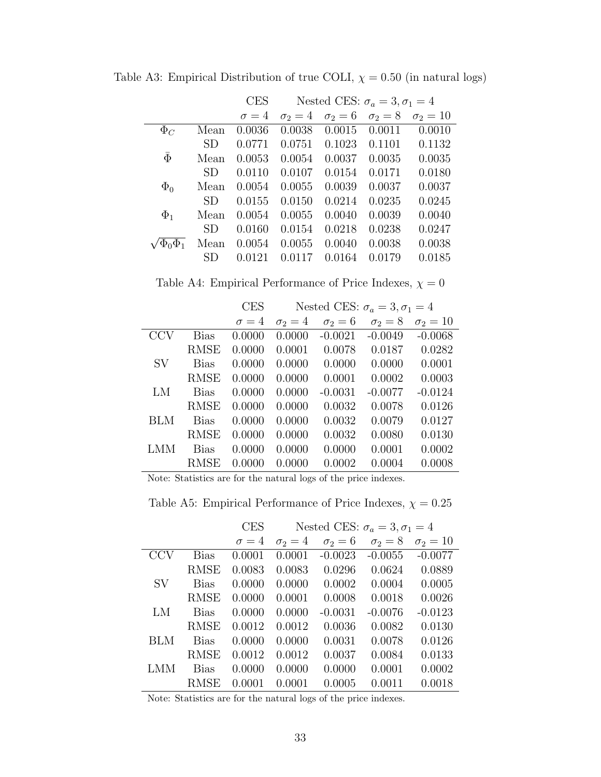|              |           | <b>CES</b>   | Nested CES: $\sigma_a = 3, \sigma_1 = 4$ |              |              |                 |
|--------------|-----------|--------------|------------------------------------------|--------------|--------------|-----------------|
|              |           | $\sigma = 4$ | $\sigma_2=4$                             | $\sigma_2=6$ | $\sigma_2=8$ | $\sigma_2 = 10$ |
| $\Phi_C$     | Mean      | 0.0036       | 0.0038                                   | 0.0015       | 0.0011       | 0.0010          |
|              | SD.       | 0.0771       | 0.0751                                   | 0.1023       | 0.1101       | 0.1132          |
| $\bar{\Phi}$ | Mean      | 0.0053       | 0.0054                                   | 0.0037       | 0.0035       | 0.0035          |
|              | <b>SD</b> | 0.0110       | 0.0107                                   | 0.0154       | 0.0171       | 0.0180          |
| $\Phi_0$     | Mean      | 0.0054       | 0.0055                                   | 0.0039       | 0.0037       | 0.0037          |
|              | SD.       | 0.0155       | 0.0150                                   | 0.0214       | 0.0235       | 0.0245          |
| $\Phi_1$     | Mean      | 0.0054       | 0.0055                                   | 0.0040       | 0.0039       | 0.0040          |
|              | SD.       | 0.0160       | 0.0154                                   | 0.0218       | 0.0238       | 0.0247          |
|              | Mean      | 0.0054       | 0.0055                                   | 0.0040       | 0.0038       | 0.0038          |
|              | SD        | 0.0121       | 0.0117                                   | 0.0164       | 0.0179       | 0.0185          |

<span id="page-33-0"></span>Table A3: Empirical Distribution of true COLI,  $\chi=0.50$  (in natural logs)

Table A4: Empirical Performance of Price Indexes,  $\chi=0$ 

<span id="page-33-1"></span>

|            |             | <b>CES</b>   | Nested CES: $\sigma_a = 3, \sigma_1 = 4$ |              |              |                 |
|------------|-------------|--------------|------------------------------------------|--------------|--------------|-----------------|
|            |             | $\sigma = 4$ | $\sigma_2=4$                             | $\sigma_2=6$ | $\sigma_2=8$ | $\sigma_2 = 10$ |
|            | <b>Bias</b> | 0.0000       | 0.0000                                   | $-0.0021$    | $-0.0049$    | $-0.0068$       |
|            | <b>RMSE</b> | 0.0000       | 0.0001                                   | 0.0078       | 0.0187       | 0.0282          |
| <b>SV</b>  | <b>Bias</b> | 0.0000       | 0.0000                                   | 0.0000       | 0.0000       | 0.0001          |
|            | <b>RMSE</b> | 0.0000       | 0.0000                                   | 0.0001       | 0.0002       | 0.0003          |
| LM         | <b>Bias</b> | 0.0000       | 0.0000                                   | $-0.0031$    | $-0.0077$    | $-0.0124$       |
|            | <b>RMSE</b> | 0.0000       | 0.0000                                   | 0.0032       | 0.0078       | 0.0126          |
| <b>BLM</b> | <b>Bias</b> | 0.0000       | 0.0000                                   | 0.0032       | 0.0079       | 0.0127          |
|            | <b>RMSE</b> | 0.0000       | 0.0000                                   | 0.0032       | 0.0080       | 0.0130          |
| LMM        | <b>Bias</b> | 0.0000       | 0.0000                                   | 0.0000       | 0.0001       | 0.0002          |
|            | <b>RMSE</b> | 0.0000       | 0.0000                                   | 0.0002       | 0.0004       | 0.0008          |

Note: Statistics are for the natural logs of the price indexes.

Table A5: Empirical Performance of Price Indexes,  $\chi=0.25$ 

|            |             | <b>CES</b>   | Nested CES: $\sigma_a = 3, \sigma_1 = 4$ |              |              |                 |
|------------|-------------|--------------|------------------------------------------|--------------|--------------|-----------------|
|            |             | $\sigma = 4$ | $\sigma_2=4$                             | $\sigma_2=6$ | $\sigma_2=8$ | $\sigma_2 = 10$ |
| <b>CCV</b> | <b>Bias</b> | 0.0001       | 0.0001                                   | $-0.0023$    | $-0.0055$    | $-0.0077$       |
|            | <b>RMSE</b> | 0.0083       | 0.0083                                   | 0.0296       | 0.0624       | 0.0889          |
| <b>SV</b>  | <b>Bias</b> | 0.0000       | 0.0000                                   | 0.0002       | 0.0004       | 0.0005          |
|            | <b>RMSE</b> | 0.0000       | 0.0001                                   | 0.0008       | 0.0018       | 0.0026          |
| LM         | <b>Bias</b> | 0.0000       | 0.0000                                   | $-0.0031$    | $-0.0076$    | $-0.0123$       |
|            | <b>RMSE</b> | 0.0012       | 0.0012                                   | 0.0036       | 0.0082       | 0.0130          |
| <b>BLM</b> | <b>Bias</b> | 0.0000       | 0.0000                                   | 0.0031       | 0.0078       | 0.0126          |
|            | <b>RMSE</b> | 0.0012       | 0.0012                                   | 0.0037       | 0.0084       | 0.0133          |
| LMM        | <b>Bias</b> | 0.0000       | 0.0000                                   | 0.0000       | 0.0001       | 0.0002          |
|            | <b>RMSE</b> | 0.0001       | 0.0001                                   | 0.0005       | 0.0011       | 0.0018          |

Note: Statistics are for the natural logs of the price indexes.